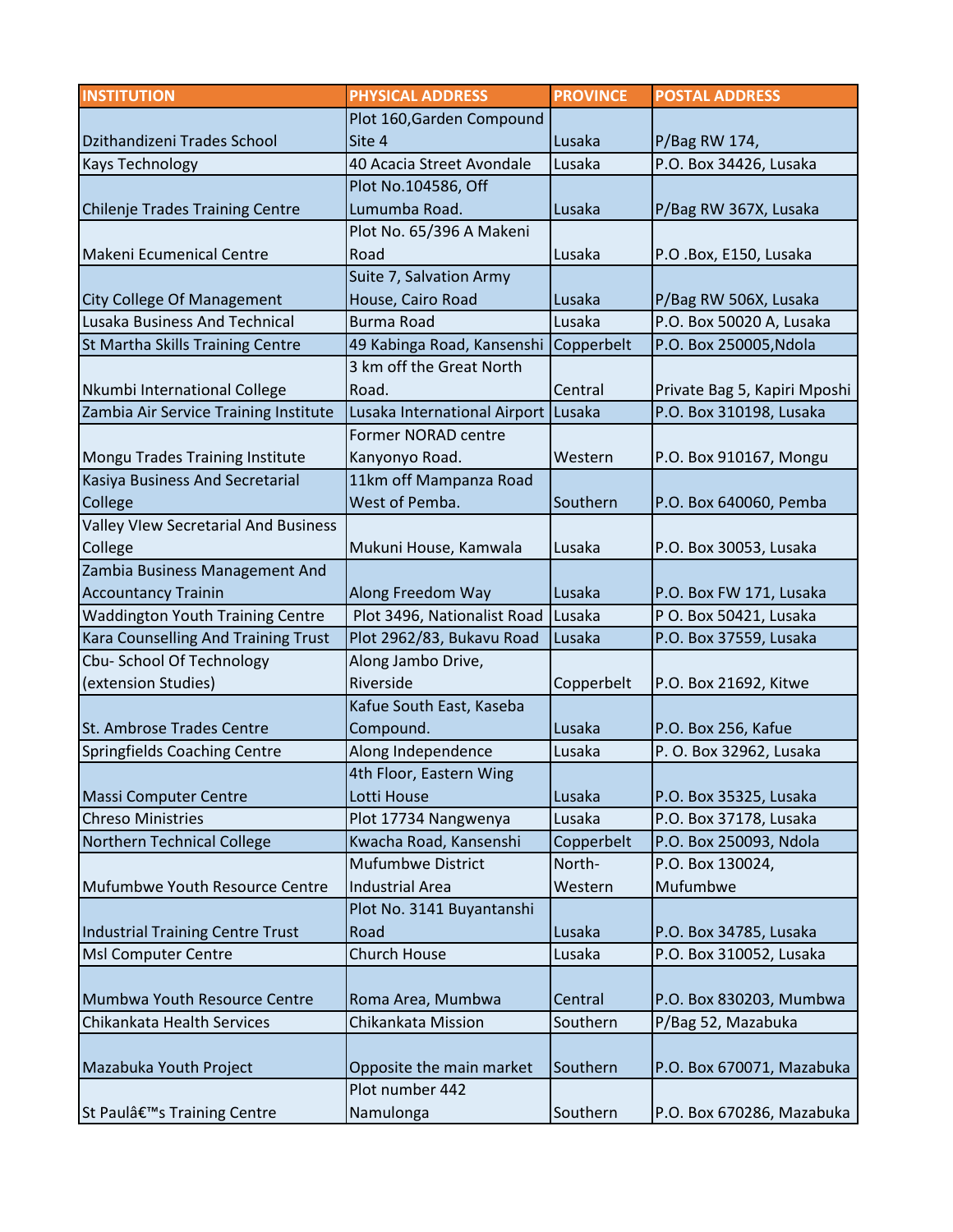| <b>INSTITUTION</b>                          | <b>PHYSICAL ADDRESS</b>             | <b>PROVINCE</b> | <b>POSTAL ADDRESS</b>        |
|---------------------------------------------|-------------------------------------|-----------------|------------------------------|
|                                             | Plot 160, Garden Compound           |                 |                              |
| Dzithandizeni Trades School                 | Site 4                              | Lusaka          | P/Bag RW 174,                |
| <b>Kays Technology</b>                      | 40 Acacia Street Avondale           | Lusaka          | P.O. Box 34426, Lusaka       |
|                                             | Plot No.104586, Off                 |                 |                              |
| Chilenje Trades Training Centre             | Lumumba Road.                       | Lusaka          | P/Bag RW 367X, Lusaka        |
|                                             | Plot No. 65/396 A Makeni            |                 |                              |
| Makeni Ecumenical Centre                    | Road                                | Lusaka          | P.O .Box, E150, Lusaka       |
|                                             | Suite 7, Salvation Army             |                 |                              |
| City College Of Management                  | House, Cairo Road                   | Lusaka          | P/Bag RW 506X, Lusaka        |
| Lusaka Business And Technical               | <b>Burma Road</b>                   | Lusaka          | P.O. Box 50020 A, Lusaka     |
| St Martha Skills Training Centre            | 49 Kabinga Road, Kansenshi          | Copperbelt      | P.O. Box 250005, Ndola       |
|                                             | 3 km off the Great North            |                 |                              |
| Nkumbi International College                | Road.                               | Central         | Private Bag 5, Kapiri Mposhi |
| Zambia Air Service Training Institute       | Lusaka International Airport Lusaka |                 | P.O. Box 310198, Lusaka      |
|                                             | <b>Former NORAD centre</b>          |                 |                              |
| Mongu Trades Training Institute             | Kanyonyo Road.                      | Western         | P.O. Box 910167, Mongu       |
| Kasiya Business And Secretarial             | 11km off Mampanza Road              |                 |                              |
| College                                     | West of Pemba.                      | Southern        | P.O. Box 640060, Pemba       |
| <b>Valley VIew Secretarial And Business</b> |                                     |                 |                              |
| College                                     | Mukuni House, Kamwala               | Lusaka          | P.O. Box 30053, Lusaka       |
| Zambia Business Management And              |                                     |                 |                              |
| <b>Accountancy Trainin</b>                  | Along Freedom Way                   | Lusaka          | P.O. Box FW 171, Lusaka      |
| <b>Waddington Youth Training Centre</b>     | Plot 3496, Nationalist Road         | Lusaka          | P O. Box 50421, Lusaka       |
| Kara Counselling And Training Trust         | Plot 2962/83, Bukavu Road           | Lusaka          | P.O. Box 37559, Lusaka       |
| Cbu-School Of Technology                    | Along Jambo Drive,                  |                 |                              |
| (extension Studies)                         | Riverside                           | Copperbelt      | P.O. Box 21692, Kitwe        |
|                                             | Kafue South East, Kaseba            |                 |                              |
| St. Ambrose Trades Centre                   | Compound.                           | Lusaka          | P.O. Box 256, Kafue          |
| Springfields Coaching Centre                | Along Independence                  | Lusaka          | P. O. Box 32962, Lusaka      |
|                                             | 4th Floor, Eastern Wing             |                 |                              |
| <b>Massi Computer Centre</b>                | Lotti House                         | Lusaka          | P.O. Box 35325, Lusaka       |
| <b>Chreso Ministries</b>                    | Plot 17734 Nangwenya                | Lusaka          | P.O. Box 37178, Lusaka       |
| Northern Technical College                  | Kwacha Road, Kansenshi              | Copperbelt      | P.O. Box 250093, Ndola       |
|                                             | <b>Mufumbwe District</b>            | North-          | P.O. Box 130024,             |
| Mufumbwe Youth Resource Centre              | <b>Industrial Area</b>              | Western         | Mufumbwe                     |
|                                             | Plot No. 3141 Buyantanshi           |                 |                              |
| Industrial Training Centre Trust            | Road                                | Lusaka          | P.O. Box 34785, Lusaka       |
| <b>Msl Computer Centre</b>                  | <b>Church House</b>                 | Lusaka          | P.O. Box 310052, Lusaka      |
|                                             |                                     |                 |                              |
| Mumbwa Youth Resource Centre                | Roma Area, Mumbwa                   | Central         | P.O. Box 830203, Mumbwa      |
| Chikankata Health Services                  | Chikankata Mission                  | Southern        | P/Bag 52, Mazabuka           |
|                                             |                                     |                 |                              |
| Mazabuka Youth Project                      | Opposite the main market            | Southern        | P.O. Box 670071, Mazabuka    |
|                                             | Plot number 442                     |                 |                              |
| St Paulâ€ <sup>™</sup> s Training Centre    | Namulonga                           | Southern        | P.O. Box 670286, Mazabuka    |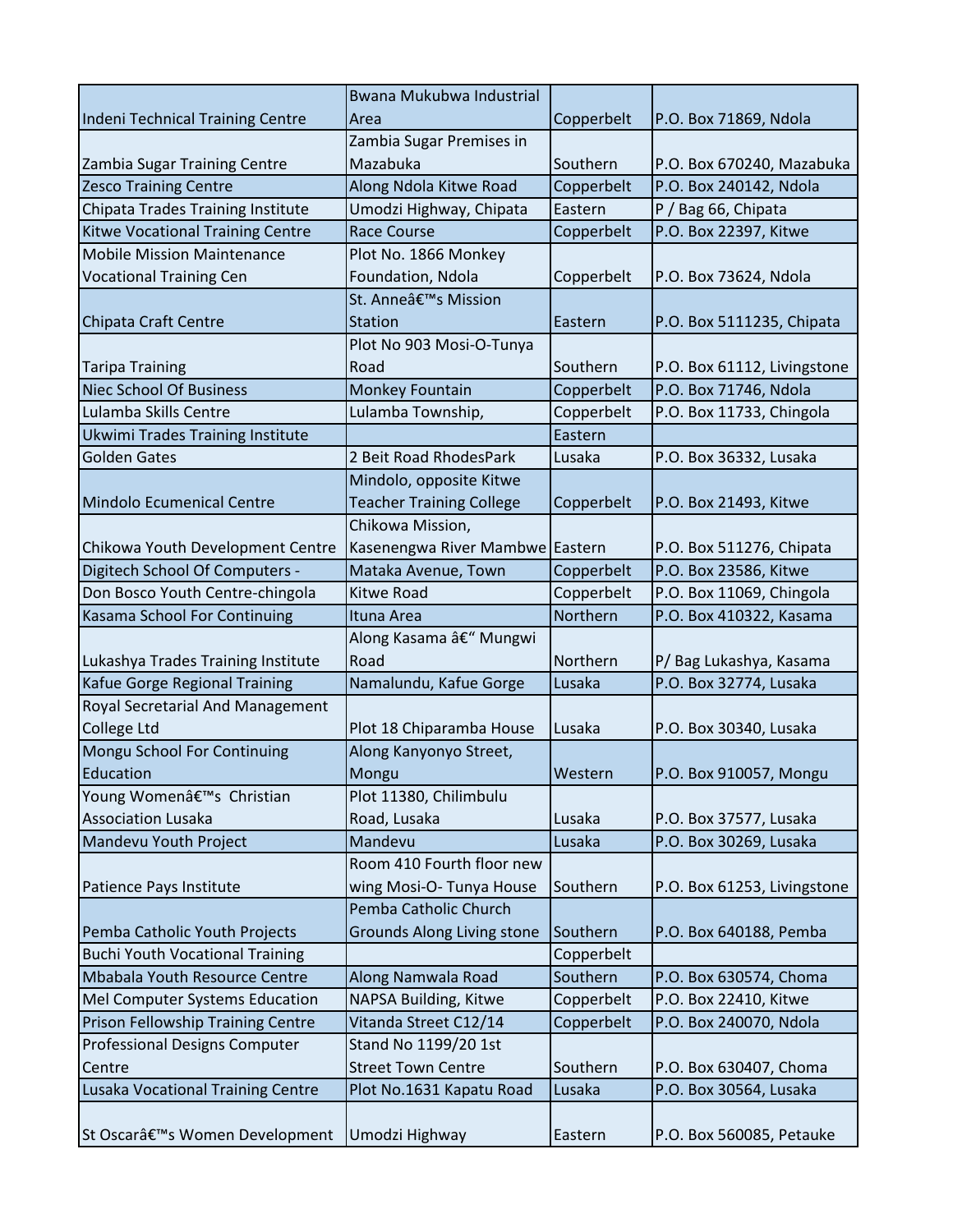|                                          | Bwana Mukubwa Industrial          |            |                             |
|------------------------------------------|-----------------------------------|------------|-----------------------------|
| Indeni Technical Training Centre         | Area                              | Copperbelt | P.O. Box 71869, Ndola       |
|                                          | Zambia Sugar Premises in          |            |                             |
| Zambia Sugar Training Centre             | Mazabuka                          | Southern   | P.O. Box 670240, Mazabuka   |
| <b>Zesco Training Centre</b>             | Along Ndola Kitwe Road            | Copperbelt | P.O. Box 240142, Ndola      |
| Chipata Trades Training Institute        | Umodzi Highway, Chipata           | Eastern    | P / Bag 66, Chipata         |
| Kitwe Vocational Training Centre         | <b>Race Course</b>                | Copperbelt | P.O. Box 22397, Kitwe       |
| <b>Mobile Mission Maintenance</b>        | Plot No. 1866 Monkey              |            |                             |
| <b>Vocational Training Cen</b>           | Foundation, Ndola                 | Copperbelt | P.O. Box 73624, Ndola       |
|                                          | St. Anneâ€ <sup>™</sup> s Mission |            |                             |
| Chipata Craft Centre                     | <b>Station</b>                    | Eastern    | P.O. Box 5111235, Chipata   |
|                                          | Plot No 903 Mosi-O-Tunya          |            |                             |
| <b>Taripa Training</b>                   | Road                              | Southern   | P.O. Box 61112, Livingstone |
| <b>Niec School Of Business</b>           | Monkey Fountain                   | Copperbelt | P.O. Box 71746, Ndola       |
| Lulamba Skills Centre                    | Lulamba Township,                 | Copperbelt | P.O. Box 11733, Chingola    |
| Ukwimi Trades Training Institute         |                                   | Eastern    |                             |
| <b>Golden Gates</b>                      | 2 Beit Road RhodesPark            | Lusaka     | P.O. Box 36332, Lusaka      |
|                                          | Mindolo, opposite Kitwe           |            |                             |
| Mindolo Ecumenical Centre                | <b>Teacher Training College</b>   | Copperbelt | P.O. Box 21493, Kitwe       |
|                                          | Chikowa Mission,                  |            |                             |
| Chikowa Youth Development Centre         | Kasenengwa River Mambwe Eastern   |            | P.O. Box 511276, Chipata    |
| Digitech School Of Computers -           | Mataka Avenue, Town               | Copperbelt | P.O. Box 23586, Kitwe       |
| Don Bosco Youth Centre-chingola          | Kitwe Road                        | Copperbelt | P.O. Box 11069, Chingola    |
| Kasama School For Continuing             | Ituna Area                        | Northern   | P.O. Box 410322, Kasama     |
|                                          | Along Kasama – Mungwi             |            |                             |
| Lukashya Trades Training Institute       | Road                              | Northern   | P/Bag Lukashya, Kasama      |
| Kafue Gorge Regional Training            | Namalundu, Kafue Gorge            | Lusaka     | P.O. Box 32774, Lusaka      |
| Royal Secretarial And Management         |                                   |            |                             |
| College Ltd                              | Plot 18 Chiparamba House          | Lusaka     | P.O. Box 30340, Lusaka      |
| Mongu School For Continuing              | Along Kanyonyo Street,            |            |                             |
| Education                                | Mongu                             | Western    | P.O. Box 910057, Mongu      |
| Young Women's Christian                  | Plot 11380, Chilimbulu            |            |                             |
| <b>Association Lusaka</b>                | Road, Lusaka                      | Lusaka     | P.O. Box 37577, Lusaka      |
| Mandevu Youth Project                    | Mandevu                           | Lusaka     | P.O. Box 30269, Lusaka      |
|                                          | Room 410 Fourth floor new         |            |                             |
| Patience Pays Institute                  | wing Mosi-O-Tunya House           | Southern   | P.O. Box 61253, Livingstone |
|                                          | Pemba Catholic Church             |            |                             |
| Pemba Catholic Youth Projects            | <b>Grounds Along Living stone</b> | Southern   | P.O. Box 640188, Pemba      |
| <b>Buchi Youth Vocational Training</b>   |                                   | Copperbelt |                             |
| Mbabala Youth Resource Centre            | Along Namwala Road                | Southern   | P.O. Box 630574, Choma      |
| Mel Computer Systems Education           | NAPSA Building, Kitwe             | Copperbelt | P.O. Box 22410, Kitwe       |
| <b>Prison Fellowship Training Centre</b> | Vitanda Street C12/14             | Copperbelt | P.O. Box 240070, Ndola      |
| Professional Designs Computer            | Stand No 1199/20 1st              |            |                             |
| Centre                                   | <b>Street Town Centre</b>         | Southern   | P.O. Box 630407, Choma      |
| Lusaka Vocational Training Centre        | Plot No.1631 Kapatu Road          | Lusaka     | P.O. Box 30564, Lusaka      |
|                                          |                                   |            |                             |
| St Oscar's Women Development             | Umodzi Highway                    | Eastern    | P.O. Box 560085, Petauke    |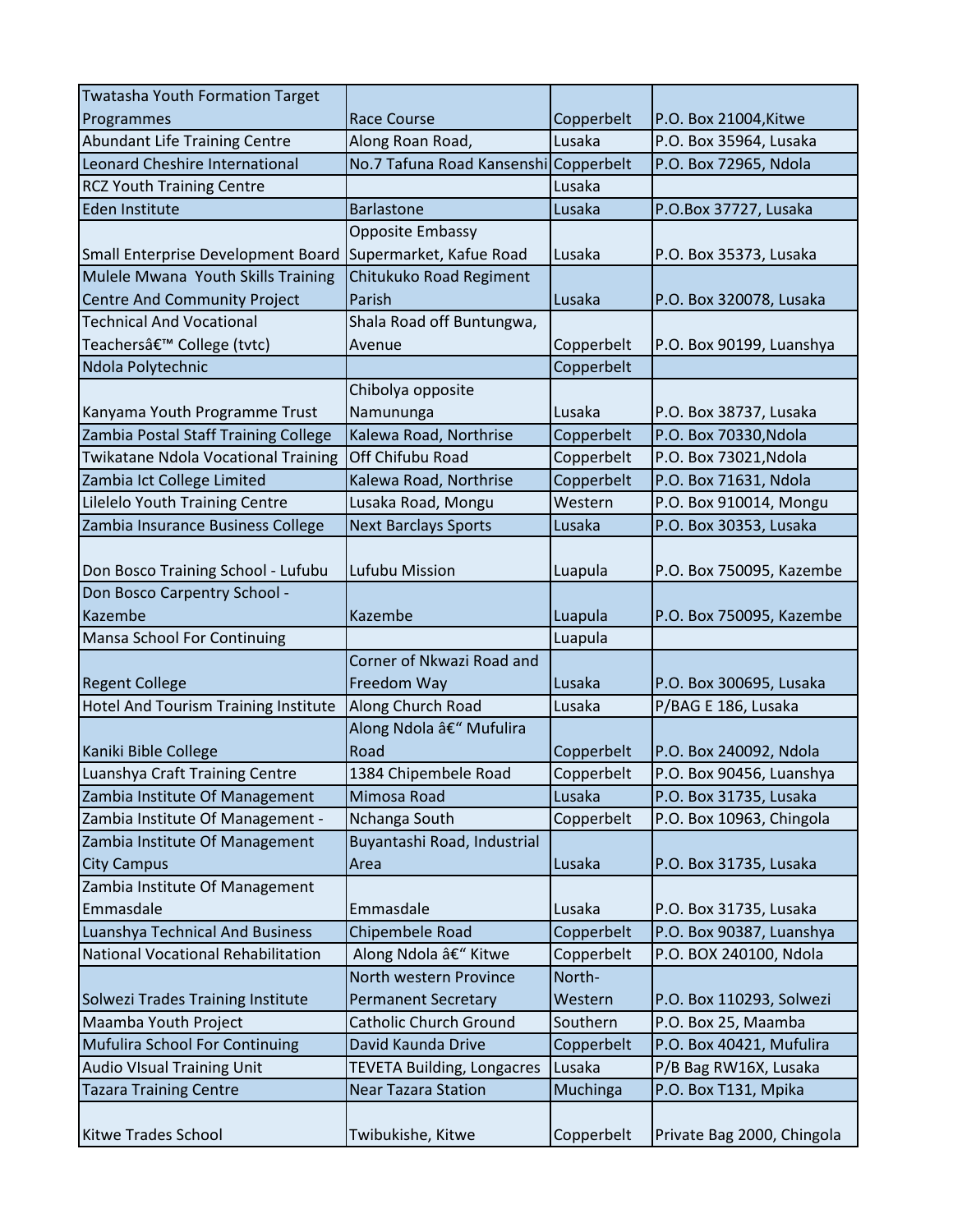| <b>Twatasha Youth Formation Target</b>     |                                       |            |                            |
|--------------------------------------------|---------------------------------------|------------|----------------------------|
| Programmes                                 | <b>Race Course</b>                    | Copperbelt | P.O. Box 21004, Kitwe      |
| <b>Abundant Life Training Centre</b>       | Along Roan Road,                      | Lusaka     | P.O. Box 35964, Lusaka     |
| Leonard Cheshire International             | No.7 Tafuna Road Kansenshi Copperbelt |            | P.O. Box 72965, Ndola      |
| <b>RCZ Youth Training Centre</b>           |                                       | Lusaka     |                            |
| Eden Institute                             | <b>Barlastone</b>                     | Lusaka     | P.O.Box 37727, Lusaka      |
|                                            | <b>Opposite Embassy</b>               |            |                            |
| Small Enterprise Development Board         | Supermarket, Kafue Road               | Lusaka     | P.O. Box 35373, Lusaka     |
| Mulele Mwana Youth Skills Training         | Chitukuko Road Regiment               |            |                            |
| <b>Centre And Community Project</b>        | Parish                                | Lusaka     | P.O. Box 320078, Lusaka    |
| <b>Technical And Vocational</b>            | Shala Road off Buntungwa,             |            |                            |
| Teachersâ€ <sup>™</sup> College (tvtc)     | Avenue                                | Copperbelt | P.O. Box 90199, Luanshya   |
| Ndola Polytechnic                          |                                       | Copperbelt |                            |
|                                            | Chibolya opposite                     |            |                            |
| Kanyama Youth Programme Trust              | Namununga                             | Lusaka     | P.O. Box 38737, Lusaka     |
| Zambia Postal Staff Training College       | Kalewa Road, Northrise                | Copperbelt | P.O. Box 70330, Ndola      |
| <b>Twikatane Ndola Vocational Training</b> | Off Chifubu Road                      | Copperbelt | P.O. Box 73021, Ndola      |
| Zambia Ict College Limited                 | Kalewa Road, Northrise                | Copperbelt | P.O. Box 71631, Ndola      |
| Lilelelo Youth Training Centre             | Lusaka Road, Mongu                    | Western    | P.O. Box 910014, Mongu     |
| Zambia Insurance Business College          | <b>Next Barclays Sports</b>           | Lusaka     | P.O. Box 30353, Lusaka     |
| Don Bosco Training School - Lufubu         | Lufubu Mission                        | Luapula    | P.O. Box 750095, Kazembe   |
| Don Bosco Carpentry School -               |                                       |            |                            |
| Kazembe                                    | Kazembe                               | Luapula    | P.O. Box 750095, Kazembe   |
| Mansa School For Continuing                |                                       | Luapula    |                            |
|                                            | Corner of Nkwazi Road and             |            |                            |
| <b>Regent College</b>                      | Freedom Way                           | Lusaka     | P.O. Box 300695, Lusaka    |
| Hotel And Tourism Training Institute       | Along Church Road                     | Lusaka     | P/BAG E 186, Lusaka        |
| Kaniki Bible College                       | Along Ndola – Mufulira<br>Road        | Copperbelt | P.O. Box 240092, Ndola     |
| Luanshya Craft Training Centre             | 1384 Chipembele Road                  | Copperbelt | P.O. Box 90456, Luanshya   |
| Zambia Institute Of Management             | Mimosa Road                           | Lusaka     | P.O. Box 31735, Lusaka     |
| Zambia Institute Of Management -           | Nchanga South                         | Copperbelt | P.O. Box 10963, Chingola   |
| Zambia Institute Of Management             | Buyantashi Road, Industrial           |            |                            |
| <b>City Campus</b>                         | Area                                  | Lusaka     | P.O. Box 31735, Lusaka     |
| Zambia Institute Of Management             |                                       |            |                            |
| Emmasdale                                  | Emmasdale                             | Lusaka     | P.O. Box 31735, Lusaka     |
| <b>Luanshya Technical And Business</b>     | Chipembele Road                       | Copperbelt | P.O. Box 90387, Luanshya   |
| <b>National Vocational Rehabilitation</b>  | Along Ndola – Kitwe                   | Copperbelt | P.O. BOX 240100, Ndola     |
|                                            | North western Province                | North-     |                            |
| Solwezi Trades Training Institute          | <b>Permanent Secretary</b>            | Western    | P.O. Box 110293, Solwezi   |
| Maamba Youth Project                       | <b>Catholic Church Ground</b>         | Southern   | P.O. Box 25, Maamba        |
| <b>Mufulira School For Continuing</b>      | David Kaunda Drive                    | Copperbelt | P.O. Box 40421, Mufulira   |
| <b>Audio VIsual Training Unit</b>          | <b>TEVETA Building, Longacres</b>     | Lusaka     | P/B Bag RW16X, Lusaka      |
| <b>Tazara Training Centre</b>              | <b>Near Tazara Station</b>            | Muchinga   | P.O. Box T131, Mpika       |
|                                            |                                       |            |                            |
| <b>Kitwe Trades School</b>                 | Twibukishe, Kitwe                     | Copperbelt | Private Bag 2000, Chingola |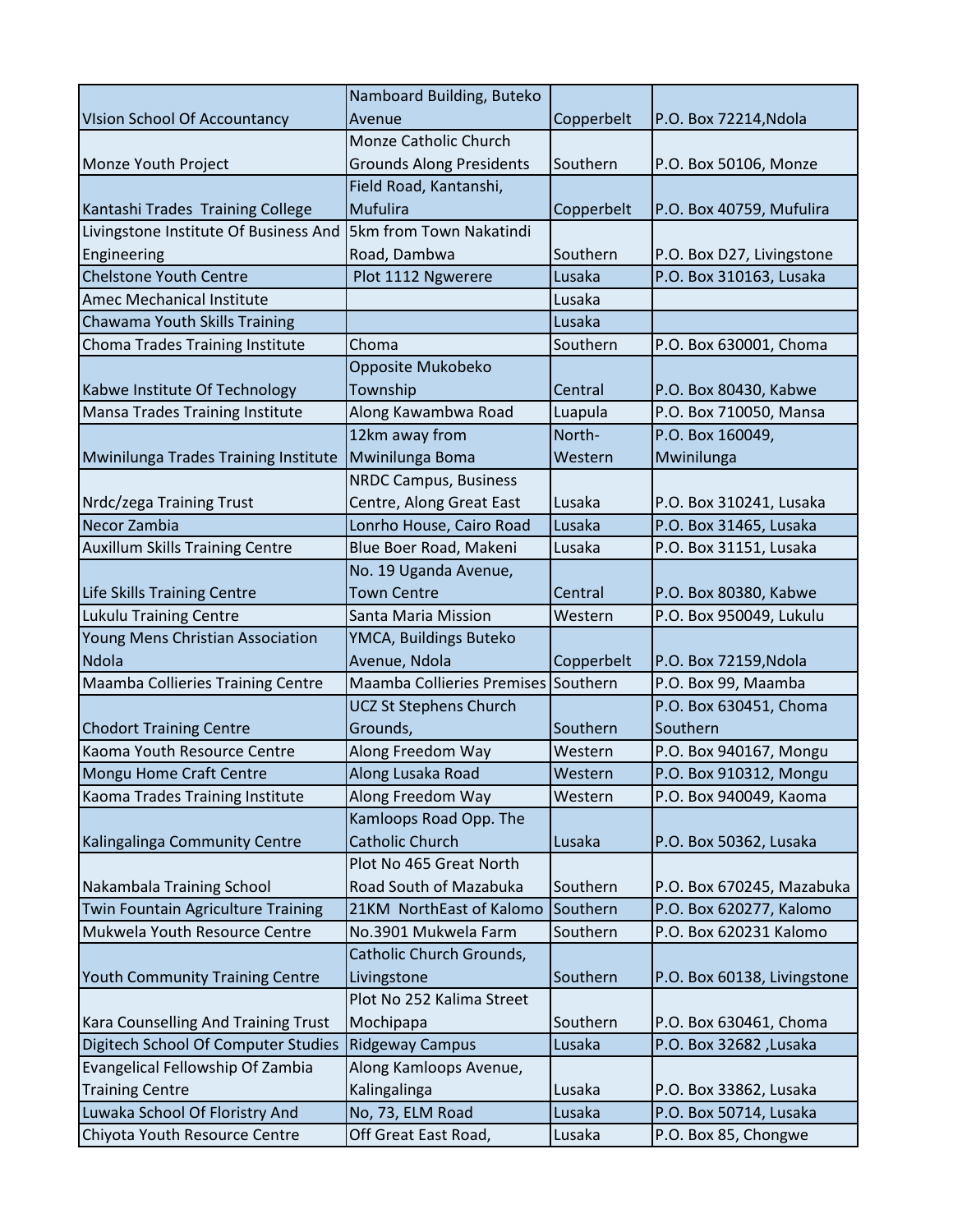|                                        | Namboard Building, Buteko       |            |                             |
|----------------------------------------|---------------------------------|------------|-----------------------------|
| <b>VIsion School Of Accountancy</b>    | Avenue                          | Copperbelt | P.O. Box 72214, Ndola       |
|                                        | <b>Monze Catholic Church</b>    |            |                             |
| Monze Youth Project                    | <b>Grounds Along Presidents</b> | Southern   | P.O. Box 50106, Monze       |
|                                        | Field Road, Kantanshi,          |            |                             |
| Kantashi Trades Training College       | Mufulira                        | Copperbelt | P.O. Box 40759, Mufulira    |
| Livingstone Institute Of Business And  | <b>5km from Town Nakatindi</b>  |            |                             |
| Engineering                            | Road, Dambwa                    | Southern   | P.O. Box D27, Livingstone   |
| <b>Chelstone Youth Centre</b>          | Plot 1112 Ngwerere              | Lusaka     | P.O. Box 310163, Lusaka     |
| Amec Mechanical Institute              |                                 | Lusaka     |                             |
| Chawama Youth Skills Training          |                                 | Lusaka     |                             |
| Choma Trades Training Institute        | Choma                           | Southern   | P.O. Box 630001, Choma      |
|                                        | Opposite Mukobeko               |            |                             |
| Kabwe Institute Of Technology          | Township                        | Central    | P.O. Box 80430, Kabwe       |
| Mansa Trades Training Institute        | Along Kawambwa Road             | Luapula    | P.O. Box 710050, Mansa      |
|                                        | 12km away from                  | North-     | P.O. Box 160049,            |
| Mwinilunga Trades Training Institute   | Mwinilunga Boma                 | Western    | Mwinilunga                  |
|                                        | <b>NRDC Campus, Business</b>    |            |                             |
| Nrdc/zega Training Trust               | Centre, Along Great East        | Lusaka     | P.O. Box 310241, Lusaka     |
| Necor Zambia                           | Lonrho House, Cairo Road        | Lusaka     | P.O. Box 31465, Lusaka      |
| <b>Auxillum Skills Training Centre</b> | Blue Boer Road, Makeni          | Lusaka     | P.O. Box 31151, Lusaka      |
|                                        | No. 19 Uganda Avenue,           |            |                             |
| Life Skills Training Centre            | <b>Town Centre</b>              | Central    | P.O. Box 80380, Kabwe       |
| <b>Lukulu Training Centre</b>          | Santa Maria Mission             | Western    | P.O. Box 950049, Lukulu     |
| Young Mens Christian Association       | YMCA, Buildings Buteko          |            |                             |
| Ndola                                  | Avenue, Ndola                   | Copperbelt | P.O. Box 72159, Ndola       |
| Maamba Collieries Training Centre      | Maamba Collieries Premises      | Southern   | P.O. Box 99, Maamba         |
|                                        | <b>UCZ St Stephens Church</b>   |            | P.O. Box 630451, Choma      |
| <b>Chodort Training Centre</b>         | Grounds,                        | Southern   | Southern                    |
| Kaoma Youth Resource Centre            | Along Freedom Way               | Western    | P.O. Box 940167, Mongu      |
| Mongu Home Craft Centre                | Along Lusaka Road               | Western    | P.O. Box 910312, Mongu      |
| Kaoma Trades Training Institute        | Along Freedom Way               | Western    | P.O. Box 940049, Kaoma      |
|                                        | Kamloops Road Opp. The          |            |                             |
| Kalingalinga Community Centre          | <b>Catholic Church</b>          | Lusaka     | P.O. Box 50362, Lusaka      |
|                                        | Plot No 465 Great North         |            |                             |
| Nakambala Training School              | Road South of Mazabuka          | Southern   | P.O. Box 670245, Mazabuka   |
| Twin Fountain Agriculture Training     | 21KM NorthEast of Kalomo        | Southern   | P.O. Box 620277, Kalomo     |
| Mukwela Youth Resource Centre          | No.3901 Mukwela Farm            | Southern   | P.O. Box 620231 Kalomo      |
|                                        | Catholic Church Grounds,        |            |                             |
| Youth Community Training Centre        | Livingstone                     | Southern   | P.O. Box 60138, Livingstone |
|                                        | Plot No 252 Kalima Street       |            |                             |
| Kara Counselling And Training Trust    | Mochipapa                       | Southern   | P.O. Box 630461, Choma      |
| Digitech School Of Computer Studies    | <b>Ridgeway Campus</b>          | Lusaka     | P.O. Box 32682, Lusaka      |
| Evangelical Fellowship Of Zambia       | Along Kamloops Avenue,          |            |                             |
| <b>Training Centre</b>                 | Kalingalinga                    | Lusaka     | P.O. Box 33862, Lusaka      |
| Luwaka School Of Floristry And         | No, 73, ELM Road                | Lusaka     | P.O. Box 50714, Lusaka      |
| Chiyota Youth Resource Centre          | Off Great East Road,            | Lusaka     | P.O. Box 85, Chongwe        |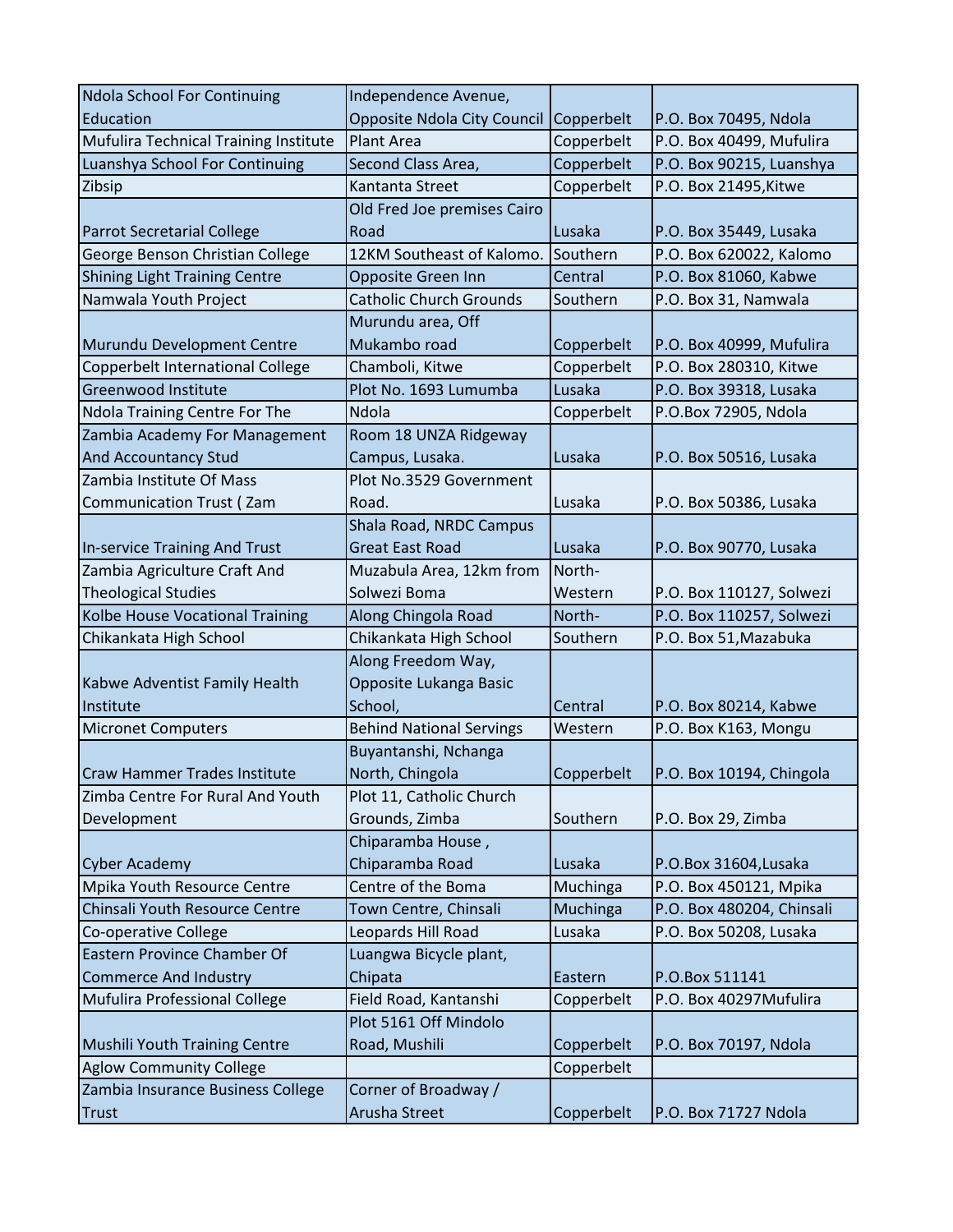| <b>Ndola School For Continuing</b>    | Independence Avenue,            |            |                           |
|---------------------------------------|---------------------------------|------------|---------------------------|
| Education                             | Opposite Ndola City Council     | Copperbelt | P.O. Box 70495, Ndola     |
| Mufulira Technical Training Institute | <b>Plant Area</b>               | Copperbelt | P.O. Box 40499, Mufulira  |
| Luanshya School For Continuing        | Second Class Area,              | Copperbelt | P.O. Box 90215, Luanshya  |
| Zibsip                                | Kantanta Street                 | Copperbelt | P.O. Box 21495, Kitwe     |
|                                       | Old Fred Joe premises Cairo     |            |                           |
| <b>Parrot Secretarial College</b>     | Road                            | Lusaka     | P.O. Box 35449, Lusaka    |
| George Benson Christian College       | 12KM Southeast of Kalomo.       | Southern   | P.O. Box 620022, Kalomo   |
| <b>Shining Light Training Centre</b>  | Opposite Green Inn              | Central    | P.O. Box 81060, Kabwe     |
| Namwala Youth Project                 | <b>Catholic Church Grounds</b>  | Southern   | P.O. Box 31, Namwala      |
|                                       | Murundu area, Off               |            |                           |
| Murundu Development Centre            | Mukambo road                    | Copperbelt | P.O. Box 40999, Mufulira  |
| Copperbelt International College      | Chamboli, Kitwe                 | Copperbelt | P.O. Box 280310, Kitwe    |
| <b>Greenwood Institute</b>            | Plot No. 1693 Lumumba           | Lusaka     | P.O. Box 39318, Lusaka    |
| Ndola Training Centre For The         | Ndola                           | Copperbelt | P.O.Box 72905, Ndola      |
| Zambia Academy For Management         | Room 18 UNZA Ridgeway           |            |                           |
| And Accountancy Stud                  | Campus, Lusaka.                 | Lusaka     | P.O. Box 50516, Lusaka    |
| Zambia Institute Of Mass              | Plot No.3529 Government         |            |                           |
| <b>Communication Trust (Zam</b>       | Road.                           | Lusaka     | P.O. Box 50386, Lusaka    |
|                                       | Shala Road, NRDC Campus         |            |                           |
| In-service Training And Trust         | <b>Great East Road</b>          | Lusaka     | P.O. Box 90770, Lusaka    |
| Zambia Agriculture Craft And          | Muzabula Area, 12km from        | North-     |                           |
| <b>Theological Studies</b>            | Solwezi Boma                    | Western    | P.O. Box 110127, Solwezi  |
| Kolbe House Vocational Training       | Along Chingola Road             | North-     | P.O. Box 110257, Solwezi  |
| Chikankata High School                | Chikankata High School          | Southern   | P.O. Box 51, Mazabuka     |
|                                       | Along Freedom Way,              |            |                           |
| Kabwe Adventist Family Health         | Opposite Lukanga Basic          |            |                           |
| Institute                             | School,                         | Central    | P.O. Box 80214, Kabwe     |
| <b>Micronet Computers</b>             | <b>Behind National Servings</b> | Western    | P.O. Box K163, Mongu      |
|                                       | Buyantanshi, Nchanga            |            |                           |
| Craw Hammer Trades Institute          | North, Chingola                 | Copperbelt | P.O. Box 10194, Chingola  |
| Zimba Centre For Rural And Youth      | Plot 11, Catholic Church        |            |                           |
| Development                           | Grounds, Zimba                  | Southern   | P.O. Box 29, Zimba        |
|                                       | Chiparamba House,               |            |                           |
| <b>Cyber Academy</b>                  | Chiparamba Road                 | Lusaka     | P.O.Box 31604, Lusaka     |
| Mpika Youth Resource Centre           | Centre of the Boma              | Muchinga   | P.O. Box 450121, Mpika    |
| Chinsali Youth Resource Centre        | Town Centre, Chinsali           | Muchinga   | P.O. Box 480204, Chinsali |
| Co-operative College                  | Leopards Hill Road              | Lusaka     | P.O. Box 50208, Lusaka    |
| Eastern Province Chamber Of           | Luangwa Bicycle plant,          |            |                           |
| <b>Commerce And Industry</b>          | Chipata                         | Eastern    | P.O.Box 511141            |
| Mufulira Professional College         | Field Road, Kantanshi           | Copperbelt | P.O. Box 40297Mufulira    |
|                                       | Plot 5161 Off Mindolo           |            |                           |
| Mushili Youth Training Centre         | Road, Mushili                   | Copperbelt | P.O. Box 70197, Ndola     |
| <b>Aglow Community College</b>        |                                 | Copperbelt |                           |
| Zambia Insurance Business College     | Corner of Broadway /            |            |                           |
| Trust                                 | Arusha Street                   | Copperbelt | P.O. Box 71727 Ndola      |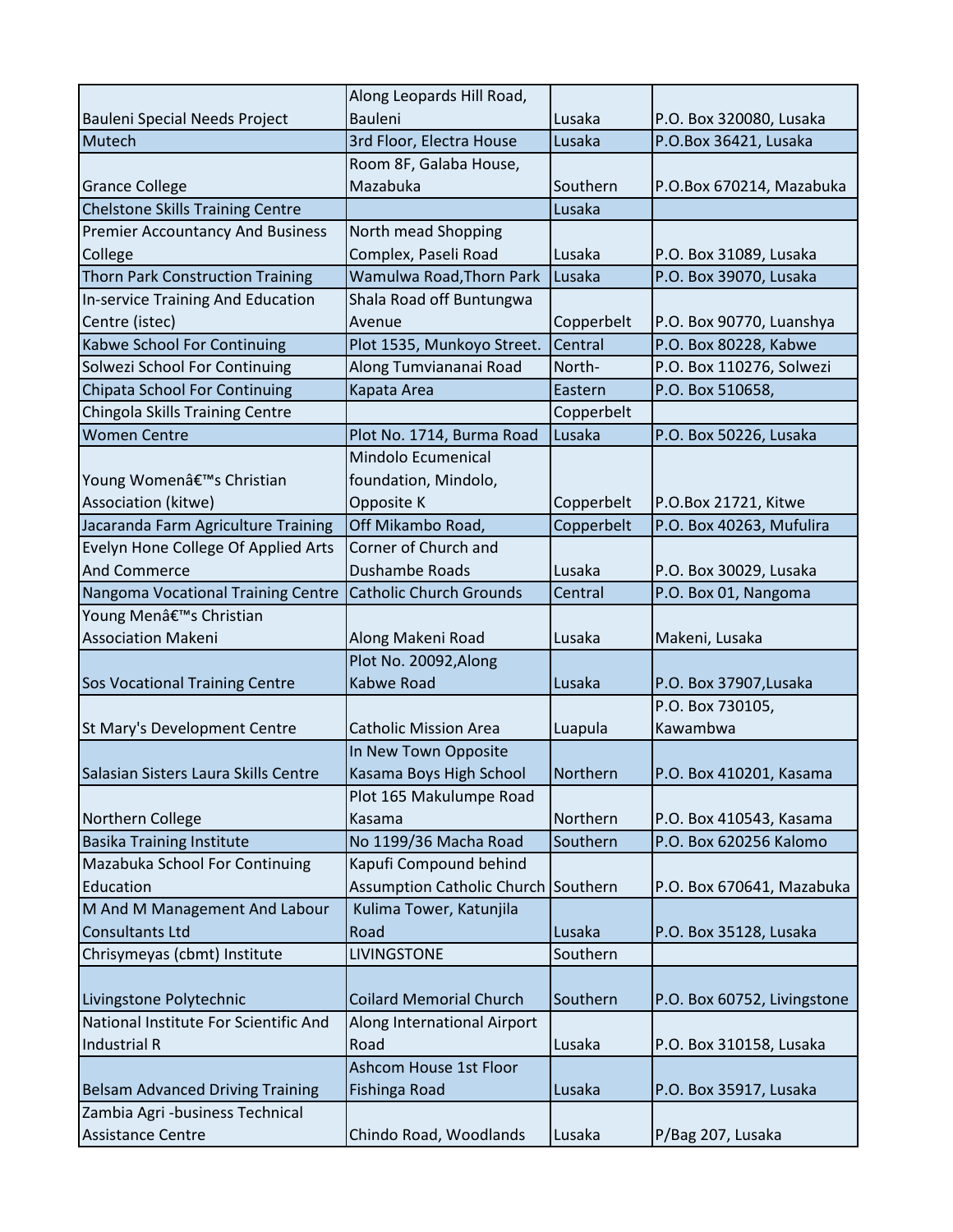|                                                             | Along Leopards Hill Road,           |            |                             |
|-------------------------------------------------------------|-------------------------------------|------------|-----------------------------|
| Bauleni Special Needs Project                               | <b>Bauleni</b>                      | Lusaka     | P.O. Box 320080, Lusaka     |
| Mutech                                                      | 3rd Floor, Electra House            | Lusaka     | P.O.Box 36421, Lusaka       |
|                                                             | Room 8F, Galaba House,              |            |                             |
| <b>Grance College</b>                                       | Mazabuka                            | Southern   | P.O.Box 670214, Mazabuka    |
| <b>Chelstone Skills Training Centre</b>                     |                                     | Lusaka     |                             |
| <b>Premier Accountancy And Business</b>                     | North mead Shopping                 |            |                             |
| College                                                     | Complex, Paseli Road                | Lusaka     | P.O. Box 31089, Lusaka      |
| <b>Thorn Park Construction Training</b>                     | Wamulwa Road, Thorn Park            | Lusaka     | P.O. Box 39070, Lusaka      |
| <b>In-service Training And Education</b>                    | Shala Road off Buntungwa            |            |                             |
| Centre (istec)                                              | Avenue                              | Copperbelt | P.O. Box 90770, Luanshya    |
| Kabwe School For Continuing                                 | Plot 1535, Munkoyo Street.          | Central    | P.O. Box 80228, Kabwe       |
| Solwezi School For Continuing                               | Along Tumviananai Road              | North-     | P.O. Box 110276, Solwezi    |
| <b>Chipata School For Continuing</b>                        | Kapata Area                         | Eastern    | P.O. Box 510658,            |
| Chingola Skills Training Centre                             |                                     | Copperbelt |                             |
| <b>Women Centre</b>                                         | Plot No. 1714, Burma Road           | Lusaka     | P.O. Box 50226, Lusaka      |
|                                                             | Mindolo Ecumenical                  |            |                             |
| Young Women's Christian                                     | foundation, Mindolo,                |            |                             |
| Association (kitwe)                                         | Opposite K                          | Copperbelt | P.O.Box 21721, Kitwe        |
| Jacaranda Farm Agriculture Training                         | Off Mikambo Road,                   | Copperbelt | P.O. Box 40263, Mufulira    |
| Evelyn Hone College Of Applied Arts                         | Corner of Church and                |            |                             |
| <b>And Commerce</b>                                         | Dushambe Roads                      | Lusaka     | P.O. Box 30029, Lusaka      |
| Nangoma Vocational Training Centre                          | <b>Catholic Church Grounds</b>      | Central    | P.O. Box 01, Nangoma        |
| Young Menâ€ <sup>™</sup> s Christian                        |                                     |            |                             |
| <b>Association Makeni</b>                                   | Along Makeni Road                   | Lusaka     | Makeni, Lusaka              |
|                                                             | Plot No. 20092, Along               |            |                             |
| <b>Sos Vocational Training Centre</b>                       | Kabwe Road                          | Lusaka     | P.O. Box 37907, Lusaka      |
|                                                             |                                     |            | P.O. Box 730105,            |
| St Mary's Development Centre                                | <b>Catholic Mission Area</b>        | Luapula    | Kawambwa                    |
|                                                             | In New Town Opposite                |            |                             |
| Salasian Sisters Laura Skills Centre                        |                                     |            |                             |
|                                                             | Kasama Boys High School             | Northern   | P.O. Box 410201, Kasama     |
|                                                             | Plot 165 Makulumpe Road             |            |                             |
| Northern College                                            | Kasama                              | Northern   | P.O. Box 410543, Kasama     |
| <b>Basika Training Institute</b>                            | No 1199/36 Macha Road               | Southern   | P.O. Box 620256 Kalomo      |
| Mazabuka School For Continuing                              | Kapufi Compound behind              |            |                             |
| Education                                                   | Assumption Catholic Church Southern |            | P.O. Box 670641, Mazabuka   |
| M And M Management And Labour                               | Kulima Tower, Katunjila             |            |                             |
| <b>Consultants Ltd</b>                                      | Road                                | Lusaka     | P.O. Box 35128, Lusaka      |
| Chrisymeyas (cbmt) Institute                                | <b>LIVINGSTONE</b>                  | Southern   |                             |
|                                                             |                                     |            |                             |
| Livingstone Polytechnic                                     | <b>Coilard Memorial Church</b>      | Southern   | P.O. Box 60752, Livingstone |
| National Institute For Scientific And                       | Along International Airport         |            |                             |
| <b>Industrial R</b>                                         | Road                                | Lusaka     | P.O. Box 310158, Lusaka     |
|                                                             | Ashcom House 1st Floor              |            |                             |
| <b>Belsam Advanced Driving Training</b>                     | <b>Fishinga Road</b>                | Lusaka     | P.O. Box 35917, Lusaka      |
| Zambia Agri -business Technical<br><b>Assistance Centre</b> | Chindo Road, Woodlands              | Lusaka     | P/Bag 207, Lusaka           |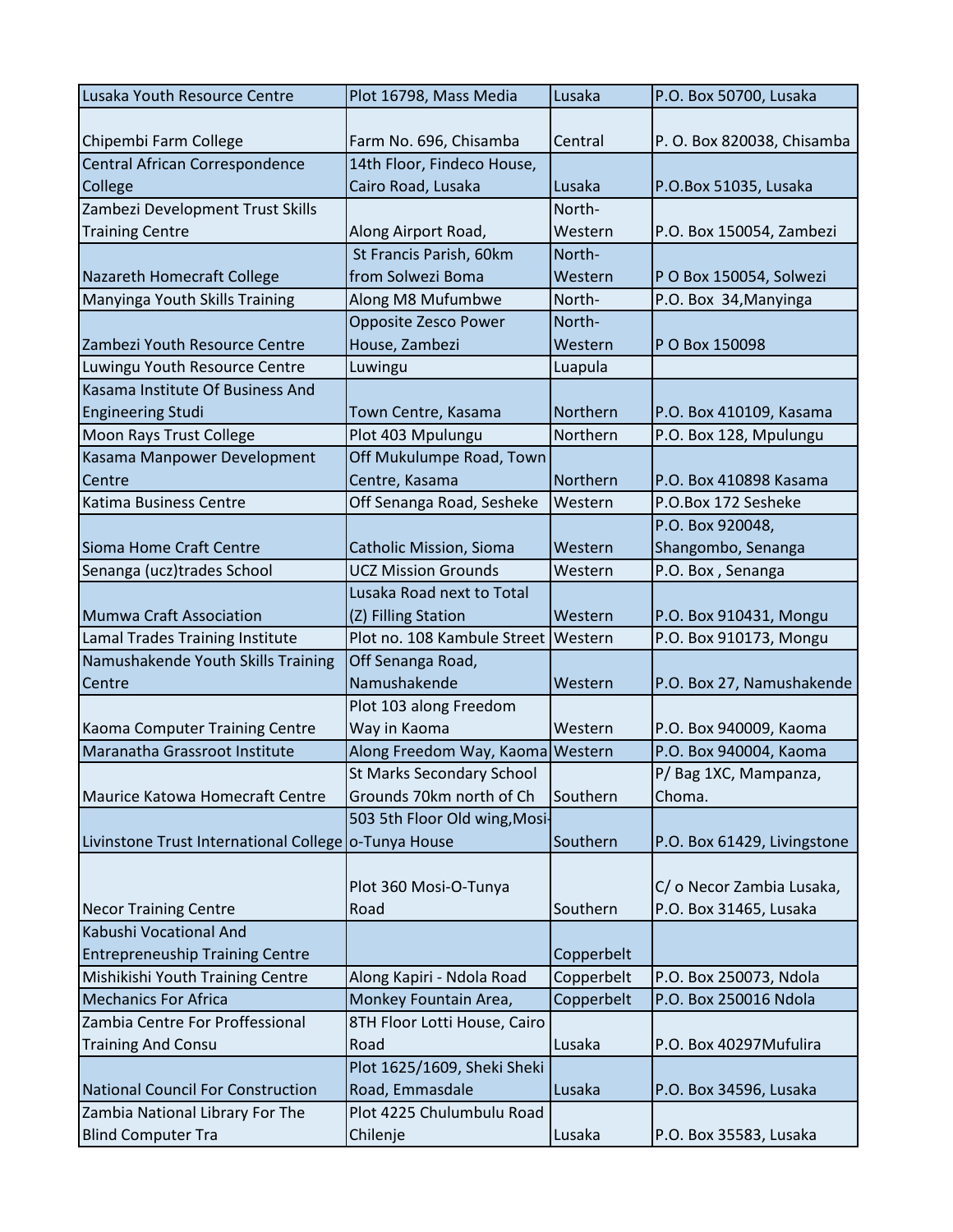| Lusaka Youth Resource Centre                         | Plot 16798, Mass Media           | Lusaka     | P.O. Box 50700, Lusaka      |
|------------------------------------------------------|----------------------------------|------------|-----------------------------|
|                                                      |                                  |            |                             |
| Chipembi Farm College                                | Farm No. 696, Chisamba           | Central    | P. O. Box 820038, Chisamba  |
| Central African Correspondence                       | 14th Floor, Findeco House,       |            |                             |
| College                                              | Cairo Road, Lusaka               | Lusaka     | P.O.Box 51035, Lusaka       |
| Zambezi Development Trust Skills                     |                                  | North-     |                             |
| <b>Training Centre</b>                               | Along Airport Road,              | Western    | P.O. Box 150054, Zambezi    |
|                                                      | St Francis Parish, 60km          | North-     |                             |
| Nazareth Homecraft College                           | from Solwezi Boma                | Western    | P O Box 150054, Solwezi     |
| Manyinga Youth Skills Training                       | Along M8 Mufumbwe                | North-     | P.O. Box 34, Manyinga       |
|                                                      | Opposite Zesco Power             | North-     |                             |
| Zambezi Youth Resource Centre                        | House, Zambezi                   | Western    | P O Box 150098              |
| Luwingu Youth Resource Centre                        | Luwingu                          | Luapula    |                             |
| Kasama Institute Of Business And                     |                                  |            |                             |
| <b>Engineering Studi</b>                             | Town Centre, Kasama              | Northern   | P.O. Box 410109, Kasama     |
| Moon Rays Trust College                              | Plot 403 Mpulungu                | Northern   | P.O. Box 128, Mpulungu      |
| Kasama Manpower Development                          | Off Mukulumpe Road, Town         |            |                             |
| Centre                                               | Centre, Kasama                   | Northern   | P.O. Box 410898 Kasama      |
| Katima Business Centre                               | Off Senanga Road, Sesheke        | Western    | P.O.Box 172 Sesheke         |
|                                                      |                                  |            | P.O. Box 920048,            |
| Sioma Home Craft Centre                              | <b>Catholic Mission, Sioma</b>   | Western    | Shangombo, Senanga          |
| Senanga (ucz)trades School                           | <b>UCZ Mission Grounds</b>       | Western    | P.O. Box, Senanga           |
|                                                      | Lusaka Road next to Total        |            |                             |
| <b>Mumwa Craft Association</b>                       | (Z) Filling Station              | Western    | P.O. Box 910431, Mongu      |
| Lamal Trades Training Institute                      | Plot no. 108 Kambule Street      | Western    | P.O. Box 910173, Mongu      |
| Namushakende Youth Skills Training                   | Off Senanga Road,                |            |                             |
| Centre                                               | Namushakende                     | Western    | P.O. Box 27, Namushakende   |
|                                                      | Plot 103 along Freedom           |            |                             |
| Kaoma Computer Training Centre                       | Way in Kaoma                     | Western    | P.O. Box 940009, Kaoma      |
| Maranatha Grassroot Institute                        | Along Freedom Way, Kaoma Western |            | P.O. Box 940004, Kaoma      |
|                                                      | <b>St Marks Secondary School</b> |            | P/Bag 1XC, Mampanza,        |
| Maurice Katowa Homecraft Centre                      | Grounds 70km north of Ch         | Southern   | Choma.                      |
|                                                      | 503 5th Floor Old wing, Mosi-    |            |                             |
| Livinstone Trust International College o-Tunya House |                                  | Southern   | P.O. Box 61429, Livingstone |
|                                                      |                                  |            |                             |
|                                                      | Plot 360 Mosi-O-Tunya            |            | C/ o Necor Zambia Lusaka,   |
| <b>Necor Training Centre</b>                         | Road                             | Southern   | P.O. Box 31465, Lusaka      |
| Kabushi Vocational And                               |                                  |            |                             |
| <b>Entrepreneuship Training Centre</b>               |                                  | Copperbelt |                             |
| Mishikishi Youth Training Centre                     | Along Kapiri - Ndola Road        | Copperbelt | P.O. Box 250073, Ndola      |
| <b>Mechanics For Africa</b>                          | Monkey Fountain Area,            | Copperbelt | P.O. Box 250016 Ndola       |
| Zambia Centre For Proffessional                      | 8TH Floor Lotti House, Cairo     |            |                             |
| <b>Training And Consu</b>                            | Road                             | Lusaka     | P.O. Box 40297Mufulira      |
|                                                      | Plot 1625/1609, Sheki Sheki      |            |                             |
| National Council For Construction                    | Road, Emmasdale                  | Lusaka     | P.O. Box 34596, Lusaka      |
| Zambia National Library For The                      | Plot 4225 Chulumbulu Road        |            |                             |
| <b>Blind Computer Tra</b>                            | Chilenje                         | Lusaka     | P.O. Box 35583, Lusaka      |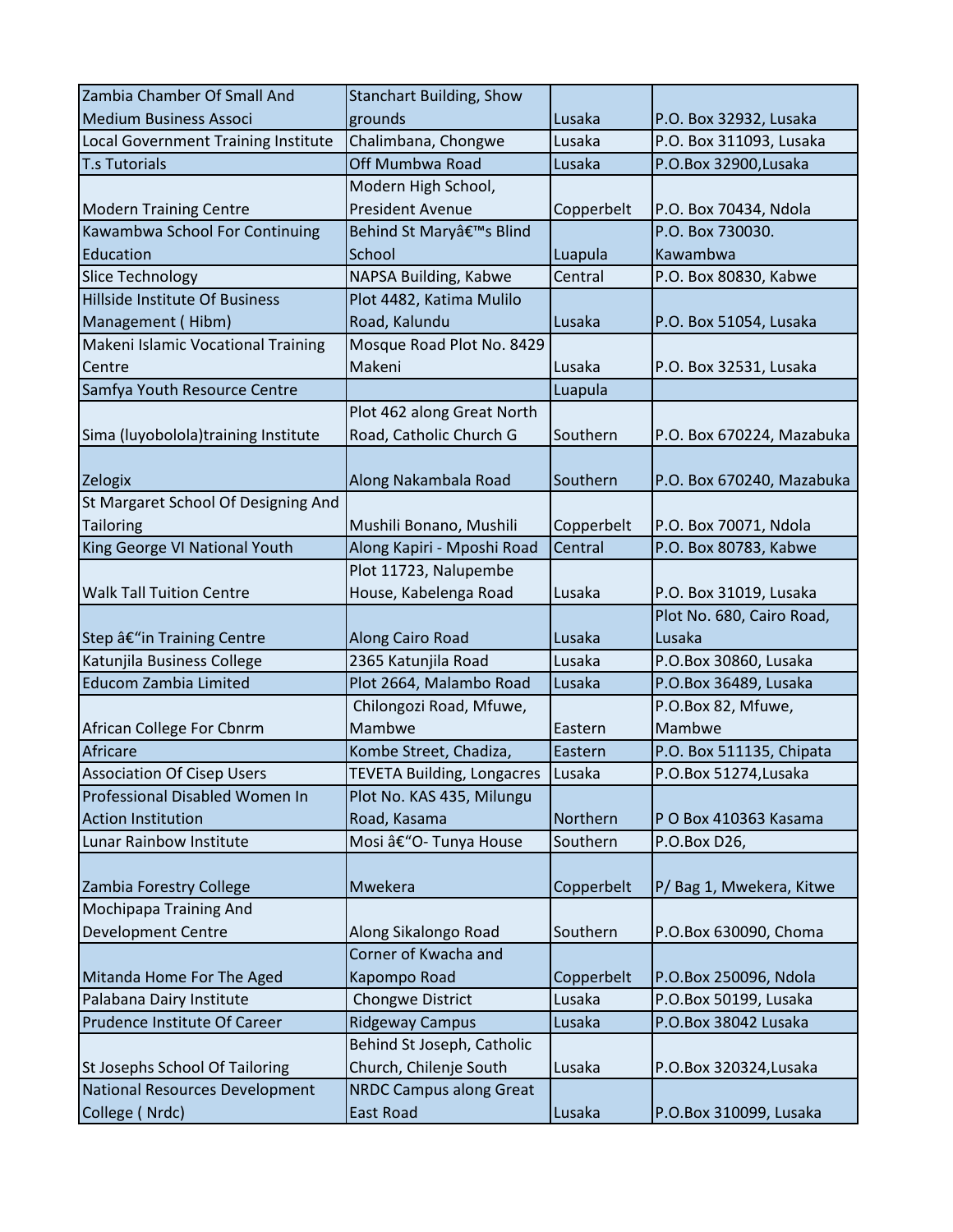| Zambia Chamber Of Small And         | <b>Stanchart Building, Show</b>   |            |                           |
|-------------------------------------|-----------------------------------|------------|---------------------------|
| <b>Medium Business Associ</b>       | grounds                           | Lusaka     | P.O. Box 32932, Lusaka    |
| Local Government Training Institute | Chalimbana, Chongwe               | Lusaka     | P.O. Box 311093, Lusaka   |
| <b>T.s Tutorials</b>                | Off Mumbwa Road                   | Lusaka     | P.O.Box 32900, Lusaka     |
|                                     | Modern High School,               |            |                           |
| <b>Modern Training Centre</b>       | <b>President Avenue</b>           | Copperbelt | P.O. Box 70434, Ndola     |
| Kawambwa School For Continuing      | Behind St Mary's Blind            |            | P.O. Box 730030.          |
| Education                           | School                            | Luapula    | Kawambwa                  |
| <b>Slice Technology</b>             | NAPSA Building, Kabwe             | Central    | P.O. Box 80830, Kabwe     |
| Hillside Institute Of Business      | Plot 4482, Katima Mulilo          |            |                           |
| Management (Hibm)                   | Road, Kalundu                     | Lusaka     | P.O. Box 51054, Lusaka    |
| Makeni Islamic Vocational Training  | Mosque Road Plot No. 8429         |            |                           |
| Centre                              | Makeni                            | Lusaka     | P.O. Box 32531, Lusaka    |
| Samfya Youth Resource Centre        |                                   | Luapula    |                           |
|                                     | Plot 462 along Great North        |            |                           |
| Sima (luyobolola)training Institute | Road, Catholic Church G           | Southern   | P.O. Box 670224, Mazabuka |
|                                     |                                   |            |                           |
| Zelogix                             | Along Nakambala Road              | Southern   | P.O. Box 670240, Mazabuka |
| St Margaret School Of Designing And |                                   |            |                           |
| Tailoring                           | Mushili Bonano, Mushili           | Copperbelt | P.O. Box 70071, Ndola     |
| King George VI National Youth       | Along Kapiri - Mposhi Road        | Central    | P.O. Box 80783, Kabwe     |
|                                     | Plot 11723, Nalupembe             |            |                           |
| <b>Walk Tall Tuition Centre</b>     | House, Kabelenga Road             | Lusaka     | P.O. Box 31019, Lusaka    |
|                                     |                                   |            | Plot No. 680, Cairo Road, |
| Step â€"in Training Centre          | Along Cairo Road                  | Lusaka     | Lusaka                    |
| Katunjila Business College          | 2365 Katunjila Road               | Lusaka     | P.O.Box 30860, Lusaka     |
| <b>Educom Zambia Limited</b>        | Plot 2664, Malambo Road           | Lusaka     | P.O.Box 36489, Lusaka     |
|                                     | Chilongozi Road, Mfuwe,           |            | P.O.Box 82, Mfuwe,        |
| African College For Cbnrm           | Mambwe                            | Eastern    | Mambwe                    |
| Africare                            | Kombe Street, Chadiza,            | Eastern    | P.O. Box 511135, Chipata  |
| <b>Association Of Cisep Users</b>   | <b>TEVETA Building, Longacres</b> | Lusaka     | P.O.Box 51274, Lusaka     |
| Professional Disabled Women In      | Plot No. KAS 435, Milungu         |            |                           |
| <b>Action Institution</b>           | Road, Kasama                      | Northern   | P O Box 410363 Kasama     |
| Lunar Rainbow Institute             | Mosi â€"O- Tunya House            | Southern   | P.O.Box D26,              |
|                                     |                                   |            |                           |
| Zambia Forestry College             | Mwekera                           | Copperbelt | P/Bag 1, Mwekera, Kitwe   |
| Mochipapa Training And              |                                   |            |                           |
| <b>Development Centre</b>           | Along Sikalongo Road              | Southern   | P.O.Box 630090, Choma     |
|                                     | Corner of Kwacha and              |            |                           |
| Mitanda Home For The Aged           | Kapompo Road                      | Copperbelt | P.O.Box 250096, Ndola     |
| Palabana Dairy Institute            | Chongwe District                  | Lusaka     | P.O.Box 50199, Lusaka     |
| Prudence Institute Of Career        | <b>Ridgeway Campus</b>            | Lusaka     | P.O.Box 38042 Lusaka      |
|                                     | Behind St Joseph, Catholic        |            |                           |
| St Josephs School Of Tailoring      | Church, Chilenje South            | Lusaka     | P.O.Box 320324, Lusaka    |
| National Resources Development      | <b>NRDC Campus along Great</b>    |            |                           |
| College (Nrdc)                      | East Road                         | Lusaka     | P.O.Box 310099, Lusaka    |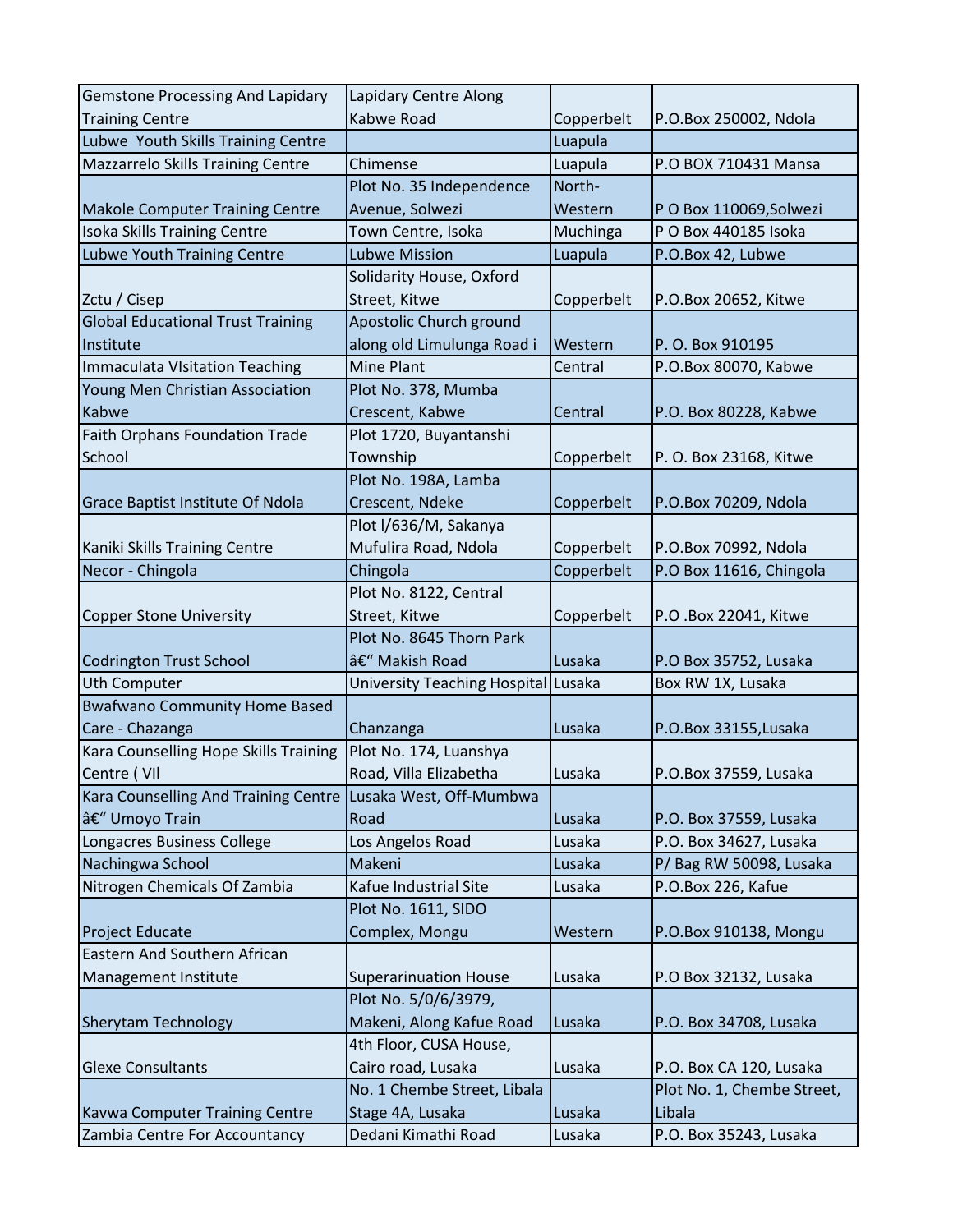| <b>Gemstone Processing And Lapidary</b>               | Lapidary Centre Along                     |            |                            |
|-------------------------------------------------------|-------------------------------------------|------------|----------------------------|
| <b>Training Centre</b>                                | Kabwe Road                                | Copperbelt | P.O.Box 250002, Ndola      |
| Lubwe Youth Skills Training Centre                    |                                           | Luapula    |                            |
| Mazzarrelo Skills Training Centre                     | Chimense                                  | Luapula    | P.O BOX 710431 Mansa       |
|                                                       | Plot No. 35 Independence                  | North-     |                            |
| <b>Makole Computer Training Centre</b>                | Avenue, Solwezi                           | Western    | PO Box 110069, Solwezi     |
| Isoka Skills Training Centre                          | Town Centre, Isoka                        | Muchinga   | P O Box 440185 Isoka       |
| Lubwe Youth Training Centre                           | <b>Lubwe Mission</b>                      | Luapula    | P.O.Box 42, Lubwe          |
|                                                       | Solidarity House, Oxford                  |            |                            |
| Zctu / Cisep                                          | Street, Kitwe                             | Copperbelt | P.O.Box 20652, Kitwe       |
| <b>Global Educational Trust Training</b>              | Apostolic Church ground                   |            |                            |
| Institute                                             | along old Limulunga Road i                | Western    | P.O. Box 910195            |
| <b>Immaculata Visitation Teaching</b>                 | Mine Plant                                | Central    | P.O.Box 80070, Kabwe       |
| Young Men Christian Association                       | Plot No. 378, Mumba                       |            |                            |
| Kabwe                                                 | Crescent, Kabwe                           | Central    | P.O. Box 80228, Kabwe      |
| <b>Faith Orphans Foundation Trade</b>                 | Plot 1720, Buyantanshi                    |            |                            |
| School                                                | Township                                  | Copperbelt | P. O. Box 23168, Kitwe     |
|                                                       | Plot No. 198A, Lamba                      |            |                            |
| <b>Grace Baptist Institute Of Ndola</b>               | Crescent, Ndeke                           | Copperbelt | P.O.Box 70209, Ndola       |
|                                                       | Plot I/636/M, Sakanya                     |            |                            |
| Kaniki Skills Training Centre                         | Mufulira Road, Ndola                      | Copperbelt | P.O.Box 70992, Ndola       |
| Necor - Chingola                                      | Chingola                                  | Copperbelt | P.O Box 11616, Chingola    |
|                                                       | Plot No. 8122, Central                    |            |                            |
| Copper Stone University                               | Street, Kitwe                             | Copperbelt | P.O .Box 22041, Kitwe      |
|                                                       | Plot No. 8645 Thorn Park<br>– Makish Road | Lusaka     |                            |
| <b>Codrington Trust School</b><br><b>Uth Computer</b> |                                           |            | P.O Box 35752, Lusaka      |
| <b>Bwafwano Community Home Based</b>                  | University Teaching Hospital Lusaka       |            | Box RW 1X, Lusaka          |
| Care - Chazanga                                       | Chanzanga                                 | Lusaka     | P.O.Box 33155, Lusaka      |
| Kara Counselling Hope Skills Training                 | Plot No. 174, Luanshya                    |            |                            |
| Centre (VII                                           | Road, Villa Elizabetha                    | Lusaka     | P.O.Box 37559, Lusaka      |
| Kara Counselling And Training Centre                  | Lusaka West, Off-Mumbwa                   |            |                            |
| – Umoyo Train                                         | Road                                      | Lusaka     | P.O. Box 37559, Lusaka     |
| Longacres Business College                            | Los Angelos Road                          | Lusaka     | P.O. Box 34627, Lusaka     |
| Nachingwa School                                      | Makeni                                    | Lusaka     | P/Bag RW 50098, Lusaka     |
| Nitrogen Chemicals Of Zambia                          | Kafue Industrial Site                     | Lusaka     | P.O.Box 226, Kafue         |
|                                                       | Plot No. 1611, SIDO                       |            |                            |
| <b>Project Educate</b>                                | Complex, Mongu                            | Western    | P.O.Box 910138, Mongu      |
| <b>Eastern And Southern African</b>                   |                                           |            |                            |
| Management Institute                                  | <b>Superarinuation House</b>              | Lusaka     | P.O Box 32132, Lusaka      |
|                                                       | Plot No. 5/0/6/3979,                      |            |                            |
| <b>Sherytam Technology</b>                            | Makeni, Along Kafue Road                  | Lusaka     | P.O. Box 34708, Lusaka     |
|                                                       | 4th Floor, CUSA House,                    |            |                            |
| <b>Glexe Consultants</b>                              | Cairo road, Lusaka                        | Lusaka     | P.O. Box CA 120, Lusaka    |
|                                                       | No. 1 Chembe Street, Libala               |            | Plot No. 1, Chembe Street, |
| <b>Kavwa Computer Training Centre</b>                 | Stage 4A, Lusaka                          | Lusaka     | Libala                     |
| Zambia Centre For Accountancy                         | Dedani Kimathi Road                       | Lusaka     | P.O. Box 35243, Lusaka     |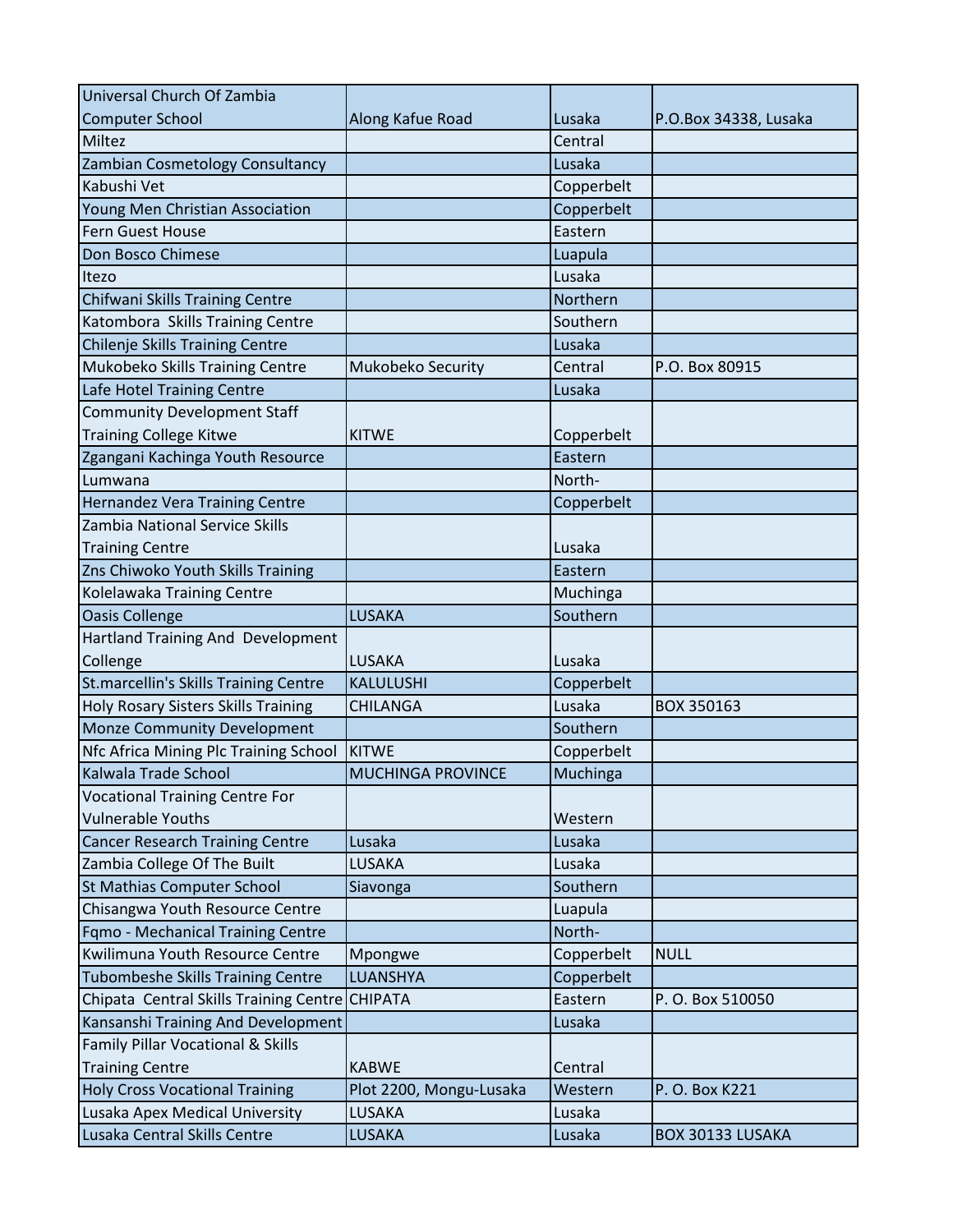| Universal Church Of Zambia               |                          |            |                       |
|------------------------------------------|--------------------------|------------|-----------------------|
| Computer School                          | Along Kafue Road         | Lusaka     | P.O.Box 34338, Lusaka |
| Miltez                                   |                          | Central    |                       |
| Zambian Cosmetology Consultancy          |                          | Lusaka     |                       |
| Kabushi Vet                              |                          | Copperbelt |                       |
| Young Men Christian Association          |                          | Copperbelt |                       |
| Fern Guest House                         |                          | Eastern    |                       |
| Don Bosco Chimese                        |                          | Luapula    |                       |
| Itezo                                    |                          | Lusaka     |                       |
| Chifwani Skills Training Centre          |                          | Northern   |                       |
| Katombora Skills Training Centre         |                          | Southern   |                       |
| Chilenje Skills Training Centre          |                          | Lusaka     |                       |
| Mukobeko Skills Training Centre          | Mukobeko Security        | Central    | P.O. Box 80915        |
| Lafe Hotel Training Centre               |                          | Lusaka     |                       |
| <b>Community Development Staff</b>       |                          |            |                       |
| <b>Training College Kitwe</b>            | <b>KITWE</b>             | Copperbelt |                       |
| Zgangani Kachinga Youth Resource         |                          | Eastern    |                       |
| Lumwana                                  |                          | North-     |                       |
| <b>Hernandez Vera Training Centre</b>    |                          | Copperbelt |                       |
| Zambia National Service Skills           |                          |            |                       |
| <b>Training Centre</b>                   |                          | Lusaka     |                       |
| Zns Chiwoko Youth Skills Training        |                          | Eastern    |                       |
| Kolelawaka Training Centre               |                          | Muchinga   |                       |
| <b>Oasis Collenge</b>                    | LUSAKA                   | Southern   |                       |
| Hartland Training And Development        |                          |            |                       |
| Collenge                                 | LUSAKA                   | Lusaka     |                       |
| St.marcellin's Skills Training Centre    | KALULUSHI                | Copperbelt |                       |
| Holy Rosary Sisters Skills Training      | <b>CHILANGA</b>          | Lusaka     | BOX 350163            |
| Monze Community Development              |                          | Southern   |                       |
| Nfc Africa Mining Plc Training School    | <b>KITWE</b>             | Copperbelt |                       |
| Kalwala Trade School                     | <b>MUCHINGA PROVINCE</b> | Muchinga   |                       |
| <b>Vocational Training Centre For</b>    |                          |            |                       |
| <b>Vulnerable Youths</b>                 |                          | Western    |                       |
| <b>Cancer Research Training Centre</b>   | Lusaka                   | Lusaka     |                       |
| Zambia College Of The Built              | LUSAKA                   | Lusaka     |                       |
| St Mathias Computer School               | Siavonga                 | Southern   |                       |
| Chisangwa Youth Resource Centre          |                          | Luapula    |                       |
| Fqmo - Mechanical Training Centre        |                          | North-     |                       |
| Kwilimuna Youth Resource Centre          | Mpongwe                  | Copperbelt | <b>NULL</b>           |
| <b>Tubombeshe Skills Training Centre</b> | LUANSHYA                 | Copperbelt |                       |
| Chipata Central Skills Training Centre   | <b>CHIPATA</b>           | Eastern    | P.O. Box 510050       |
| Kansanshi Training And Development       |                          | Lusaka     |                       |
| Family Pillar Vocational & Skills        |                          |            |                       |
| <b>Training Centre</b>                   | <b>KABWE</b>             | Central    |                       |
| <b>Holy Cross Vocational Training</b>    | Plot 2200, Mongu-Lusaka  | Western    | P. O. Box K221        |
| Lusaka Apex Medical University           | LUSAKA                   | Lusaka     |                       |
| Lusaka Central Skills Centre             | LUSAKA                   | Lusaka     | BOX 30133 LUSAKA      |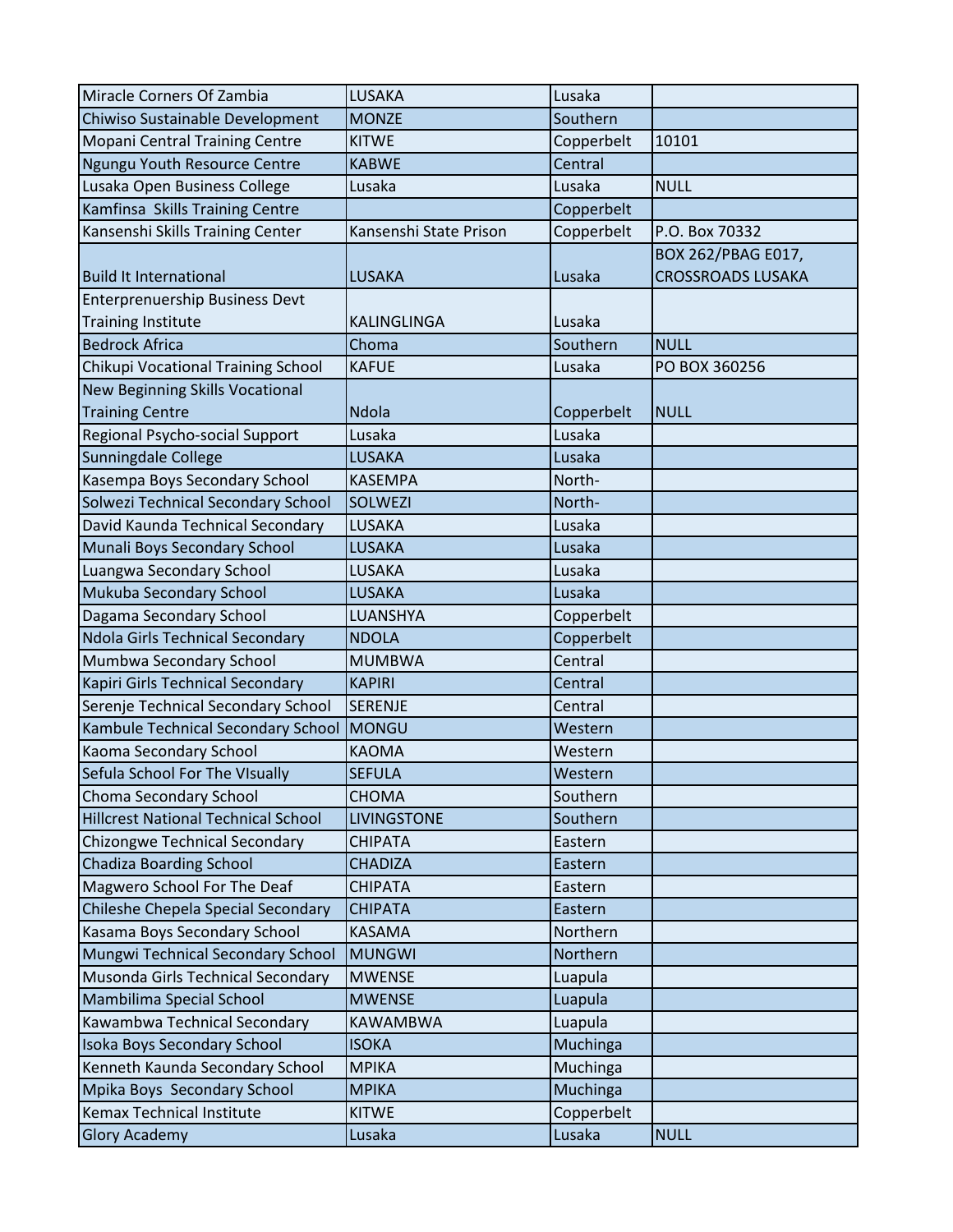| Miracle Corners Of Zambia                  | LUSAKA                 | Lusaka     |                                                |
|--------------------------------------------|------------------------|------------|------------------------------------------------|
| Chiwiso Sustainable Development            | <b>MONZE</b>           | Southern   |                                                |
| <b>Mopani Central Training Centre</b>      | <b>KITWE</b>           | Copperbelt | 10101                                          |
| Ngungu Youth Resource Centre               | <b>KABWE</b>           | Central    |                                                |
| Lusaka Open Business College               | Lusaka                 | Lusaka     | <b>NULL</b>                                    |
| Kamfinsa Skills Training Centre            |                        | Copperbelt |                                                |
| Kansenshi Skills Training Center           | Kansenshi State Prison | Copperbelt | P.O. Box 70332                                 |
| <b>Build It International</b>              | <b>LUSAKA</b>          | Lusaka     | BOX 262/PBAG E017,<br><b>CROSSROADS LUSAKA</b> |
| <b>Enterprenuership Business Devt</b>      |                        |            |                                                |
| <b>Training Institute</b>                  | KALINGLINGA            | Lusaka     |                                                |
| <b>Bedrock Africa</b>                      | Choma                  | Southern   | <b>NULL</b>                                    |
| Chikupi Vocational Training School         | <b>KAFUE</b>           | Lusaka     | PO BOX 360256                                  |
| <b>New Beginning Skills Vocational</b>     |                        |            |                                                |
| <b>Training Centre</b>                     | <b>Ndola</b>           | Copperbelt | <b>NULL</b>                                    |
| Regional Psycho-social Support             | Lusaka                 | Lusaka     |                                                |
| Sunningdale College                        | <b>LUSAKA</b>          | Lusaka     |                                                |
| Kasempa Boys Secondary School              | <b>KASEMPA</b>         | North-     |                                                |
| Solwezi Technical Secondary School         | <b>SOLWEZI</b>         | North-     |                                                |
| David Kaunda Technical Secondary           | LUSAKA                 | Lusaka     |                                                |
| Munali Boys Secondary School               | <b>LUSAKA</b>          | Lusaka     |                                                |
| Luangwa Secondary School                   | <b>LUSAKA</b>          | Lusaka     |                                                |
| Mukuba Secondary School                    | <b>LUSAKA</b>          | Lusaka     |                                                |
| Dagama Secondary School                    | LUANSHYA               | Copperbelt |                                                |
| Ndola Girls Technical Secondary            | <b>NDOLA</b>           | Copperbelt |                                                |
| Mumbwa Secondary School                    | <b>MUMBWA</b>          | Central    |                                                |
| Kapiri Girls Technical Secondary           | <b>KAPIRI</b>          | Central    |                                                |
| Serenje Technical Secondary School         | <b>SERENJE</b>         | Central    |                                                |
| Kambule Technical Secondary School         | MONGU                  | Western    |                                                |
| Kaoma Secondary School                     | <b>KAOMA</b>           | Western    |                                                |
| Sefula School For The Visually             | <b>SEFULA</b>          | Western    |                                                |
| Choma Secondary School                     | <b>CHOMA</b>           | Southern   |                                                |
| <b>Hillcrest National Technical School</b> | <b>LIVINGSTONE</b>     | Southern   |                                                |
| Chizongwe Technical Secondary              | <b>CHIPATA</b>         | Eastern    |                                                |
| <b>Chadiza Boarding School</b>             | <b>CHADIZA</b>         | Eastern    |                                                |
| Magwero School For The Deaf                | <b>CHIPATA</b>         | Eastern    |                                                |
| Chileshe Chepela Special Secondary         | <b>CHIPATA</b>         | Eastern    |                                                |
| Kasama Boys Secondary School               | <b>KASAMA</b>          | Northern   |                                                |
| Mungwi Technical Secondary School          | <b>MUNGWI</b>          | Northern   |                                                |
| Musonda Girls Technical Secondary          | <b>MWENSE</b>          | Luapula    |                                                |
| Mambilima Special School                   | <b>MWENSE</b>          | Luapula    |                                                |
| Kawambwa Technical Secondary               | <b>KAWAMBWA</b>        | Luapula    |                                                |
| <b>Isoka Boys Secondary School</b>         | <b>ISOKA</b>           | Muchinga   |                                                |
| Kenneth Kaunda Secondary School            | <b>MPIKA</b>           | Muchinga   |                                                |
| Mpika Boys Secondary School                | <b>MPIKA</b>           | Muchinga   |                                                |
| <b>Kemax Technical Institute</b>           | <b>KITWE</b>           | Copperbelt |                                                |
| <b>Glory Academy</b>                       | Lusaka                 | Lusaka     | <b>NULL</b>                                    |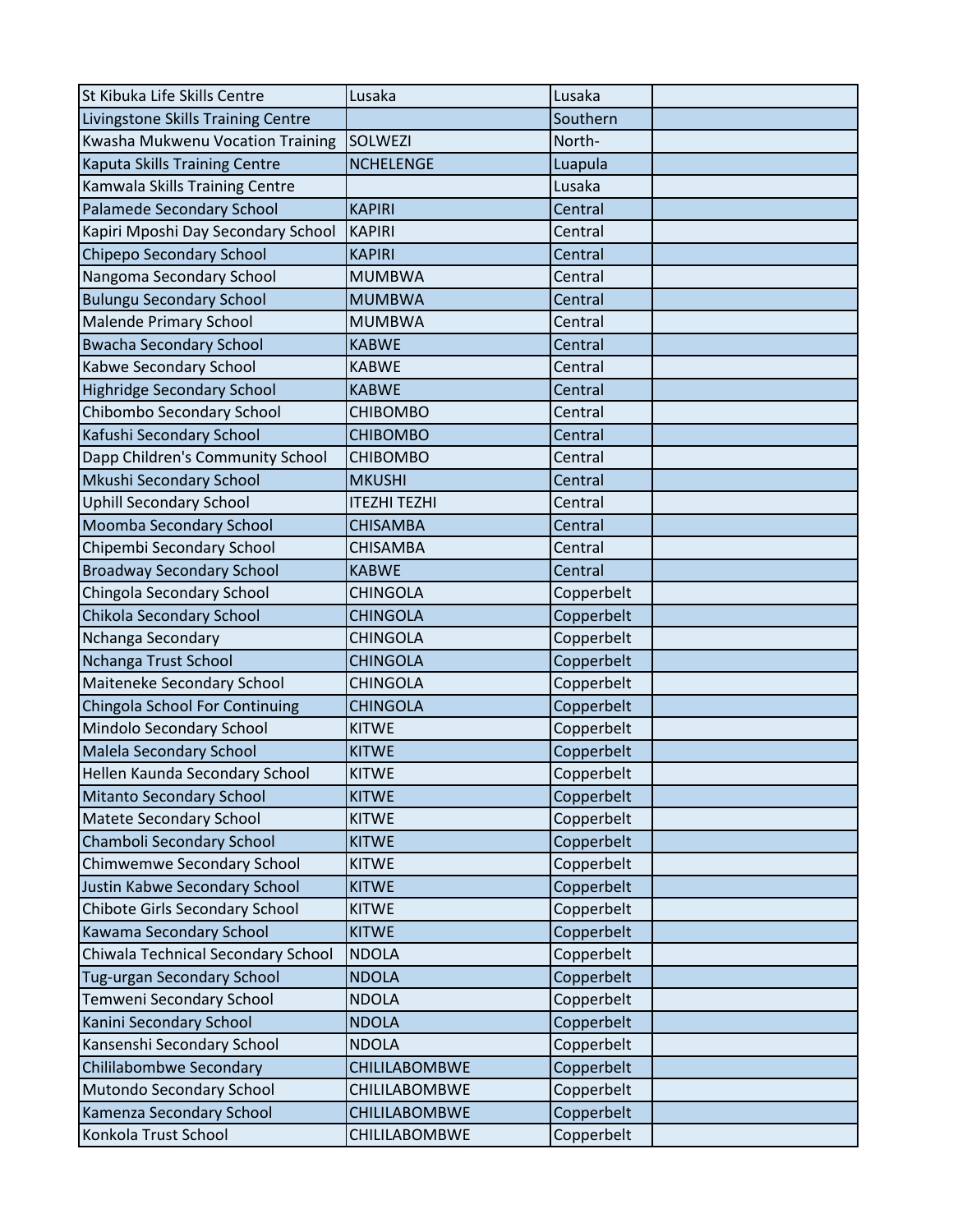| St Kibuka Life Skills Centre          | Lusaka               | Lusaka     |  |
|---------------------------------------|----------------------|------------|--|
| Livingstone Skills Training Centre    |                      | Southern   |  |
| Kwasha Mukwenu Vocation Training      | <b>SOLWEZI</b>       | North-     |  |
| <b>Kaputa Skills Training Centre</b>  | <b>NCHELENGE</b>     | Luapula    |  |
| Kamwala Skills Training Centre        |                      | Lusaka     |  |
| Palamede Secondary School             | <b>KAPIRI</b>        | Central    |  |
| Kapiri Mposhi Day Secondary School    | <b>KAPIRI</b>        | Central    |  |
| Chipepo Secondary School              | <b>KAPIRI</b>        | Central    |  |
| Nangoma Secondary School              | <b>MUMBWA</b>        | Central    |  |
| <b>Bulungu Secondary School</b>       | <b>MUMBWA</b>        | Central    |  |
| <b>Malende Primary School</b>         | <b>MUMBWA</b>        | Central    |  |
| <b>Bwacha Secondary School</b>        | <b>KABWE</b>         | Central    |  |
| Kabwe Secondary School                | <b>KABWE</b>         | Central    |  |
| <b>Highridge Secondary School</b>     | <b>KABWE</b>         | Central    |  |
| Chibombo Secondary School             | <b>CHIBOMBO</b>      | Central    |  |
| Kafushi Secondary School              | <b>CHIBOMBO</b>      | Central    |  |
| Dapp Children's Community School      | <b>CHIBOMBO</b>      | Central    |  |
| Mkushi Secondary School               | <b>MKUSHI</b>        | Central    |  |
| <b>Uphill Secondary School</b>        | <b>ITEZHI TEZHI</b>  | Central    |  |
| Moomba Secondary School               | <b>CHISAMBA</b>      | Central    |  |
| Chipembi Secondary School             | <b>CHISAMBA</b>      | Central    |  |
| <b>Broadway Secondary School</b>      | <b>KABWE</b>         | Central    |  |
| Chingola Secondary School             | <b>CHINGOLA</b>      | Copperbelt |  |
| Chikola Secondary School              | <b>CHINGOLA</b>      | Copperbelt |  |
| Nchanga Secondary                     | <b>CHINGOLA</b>      | Copperbelt |  |
| Nchanga Trust School                  | <b>CHINGOLA</b>      | Copperbelt |  |
| Maiteneke Secondary School            | <b>CHINGOLA</b>      | Copperbelt |  |
| <b>Chingola School For Continuing</b> | <b>CHINGOLA</b>      | Copperbelt |  |
| Mindolo Secondary School              | <b>KITWE</b>         | Copperbelt |  |
| Malela Secondary School               | <b>KITWE</b>         | Copperbelt |  |
| Hellen Kaunda Secondary School        | <b>KITWE</b>         | Copperbelt |  |
| Mitanto Secondary School              | <b>KITWE</b>         | Copperbelt |  |
| Matete Secondary School               | <b>KITWE</b>         | Copperbelt |  |
| Chamboli Secondary School             | <b>KITWE</b>         | Copperbelt |  |
| Chimwemwe Secondary School            | <b>KITWE</b>         | Copperbelt |  |
| Justin Kabwe Secondary School         | <b>KITWE</b>         | Copperbelt |  |
| Chibote Girls Secondary School        | <b>KITWE</b>         | Copperbelt |  |
| Kawama Secondary School               | <b>KITWE</b>         | Copperbelt |  |
| Chiwala Technical Secondary School    | <b>NDOLA</b>         | Copperbelt |  |
| Tug-urgan Secondary School            | <b>NDOLA</b>         | Copperbelt |  |
| Temweni Secondary School              | <b>NDOLA</b>         | Copperbelt |  |
| Kanini Secondary School               | <b>NDOLA</b>         | Copperbelt |  |
| Kansenshi Secondary School            | <b>NDOLA</b>         | Copperbelt |  |
| Chililabombwe Secondary               | CHILILABOMBWE        | Copperbelt |  |
| Mutondo Secondary School              | CHILILABOMBWE        | Copperbelt |  |
| Kamenza Secondary School              | <b>CHILILABOMBWE</b> | Copperbelt |  |
| Konkola Trust School                  | CHILILABOMBWE        | Copperbelt |  |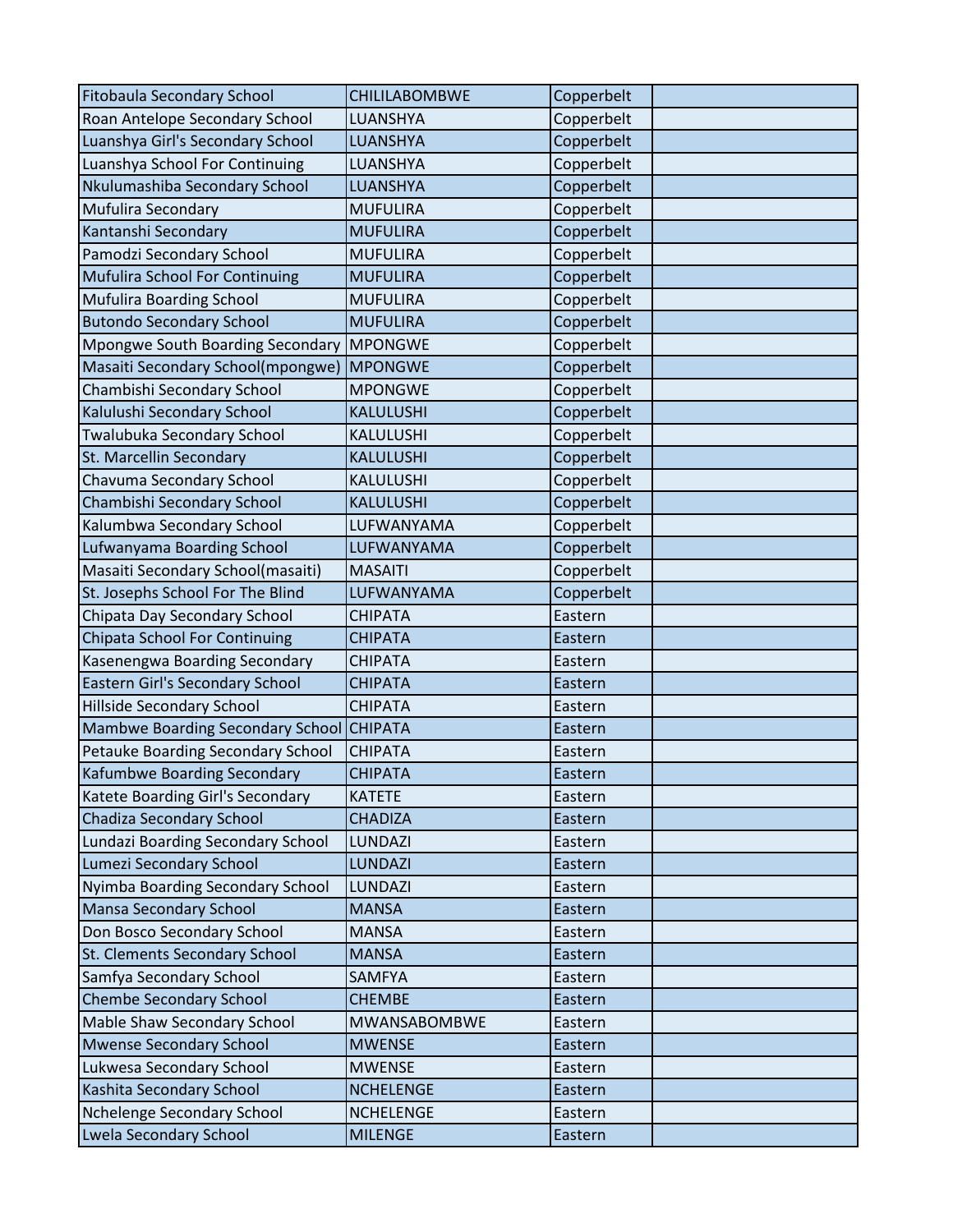| <b>Fitobaula Secondary School</b>        | <b>CHILILABOMBWE</b> | Copperbelt |  |
|------------------------------------------|----------------------|------------|--|
| Roan Antelope Secondary School           | LUANSHYA             | Copperbelt |  |
| Luanshya Girl's Secondary School         | LUANSHYA             | Copperbelt |  |
| Luanshya School For Continuing           | LUANSHYA             | Copperbelt |  |
| Nkulumashiba Secondary School            | LUANSHYA             | Copperbelt |  |
| <b>Mufulira Secondary</b>                | <b>MUFULIRA</b>      | Copperbelt |  |
| Kantanshi Secondary                      | <b>MUFULIRA</b>      | Copperbelt |  |
| Pamodzi Secondary School                 | <b>MUFULIRA</b>      | Copperbelt |  |
| Mufulira School For Continuing           | <b>MUFULIRA</b>      | Copperbelt |  |
| Mufulira Boarding School                 | <b>MUFULIRA</b>      | Copperbelt |  |
| <b>Butondo Secondary School</b>          | <b>MUFULIRA</b>      | Copperbelt |  |
| <b>Mpongwe South Boarding Secondary</b>  | <b>MPONGWE</b>       | Copperbelt |  |
| Masaiti Secondary School(mpongwe)        | <b>MPONGWE</b>       | Copperbelt |  |
| Chambishi Secondary School               | <b>MPONGWE</b>       | Copperbelt |  |
| Kalulushi Secondary School               | KALULUSHI            | Copperbelt |  |
| Twalubuka Secondary School               | KALULUSHI            | Copperbelt |  |
| St. Marcellin Secondary                  | KALULUSHI            | Copperbelt |  |
| Chavuma Secondary School                 | KALULUSHI            | Copperbelt |  |
| Chambishi Secondary School               | KALULUSHI            | Copperbelt |  |
| Kalumbwa Secondary School                | LUFWANYAMA           | Copperbelt |  |
| Lufwanyama Boarding School               | LUFWANYAMA           | Copperbelt |  |
| Masaiti Secondary School(masaiti)        | <b>MASAITI</b>       | Copperbelt |  |
| St. Josephs School For The Blind         | LUFWANYAMA           | Copperbelt |  |
| Chipata Day Secondary School             | <b>CHIPATA</b>       | Eastern    |  |
| Chipata School For Continuing            | <b>CHIPATA</b>       | Eastern    |  |
| Kasenengwa Boarding Secondary            | <b>CHIPATA</b>       | Eastern    |  |
| Eastern Girl's Secondary School          | <b>CHIPATA</b>       | Eastern    |  |
| <b>Hillside Secondary School</b>         | <b>CHIPATA</b>       | Eastern    |  |
| Mambwe Boarding Secondary School CHIPATA |                      | Eastern    |  |
| Petauke Boarding Secondary School        | <b>CHIPATA</b>       | Eastern    |  |
| Kafumbwe Boarding Secondary              | <b>CHIPATA</b>       | Eastern    |  |
| Katete Boarding Girl's Secondary         | <b>KATETE</b>        | Eastern    |  |
| Chadiza Secondary School                 | <b>CHADIZA</b>       | Eastern    |  |
| Lundazi Boarding Secondary School        | LUNDAZI              | Eastern    |  |
| Lumezi Secondary School                  | <b>LUNDAZI</b>       | Eastern    |  |
| Nyimba Boarding Secondary School         | LUNDAZI              | Eastern    |  |
| Mansa Secondary School                   | <b>MANSA</b>         | Eastern    |  |
| Don Bosco Secondary School               | <b>MANSA</b>         | Eastern    |  |
| St. Clements Secondary School            | <b>MANSA</b>         | Eastern    |  |
| Samfya Secondary School                  | <b>SAMFYA</b>        | Eastern    |  |
| <b>Chembe Secondary School</b>           | <b>CHEMBE</b>        | Eastern    |  |
| Mable Shaw Secondary School              | MWANSABOMBWE         | Eastern    |  |
| <b>Mwense Secondary School</b>           | <b>MWENSE</b>        | Eastern    |  |
| Lukwesa Secondary School                 | <b>MWENSE</b>        | Eastern    |  |
| Kashita Secondary School                 | <b>NCHELENGE</b>     | Eastern    |  |
| Nchelenge Secondary School               | <b>NCHELENGE</b>     | Eastern    |  |
| <b>Lwela Secondary School</b>            | <b>MILENGE</b>       | Eastern    |  |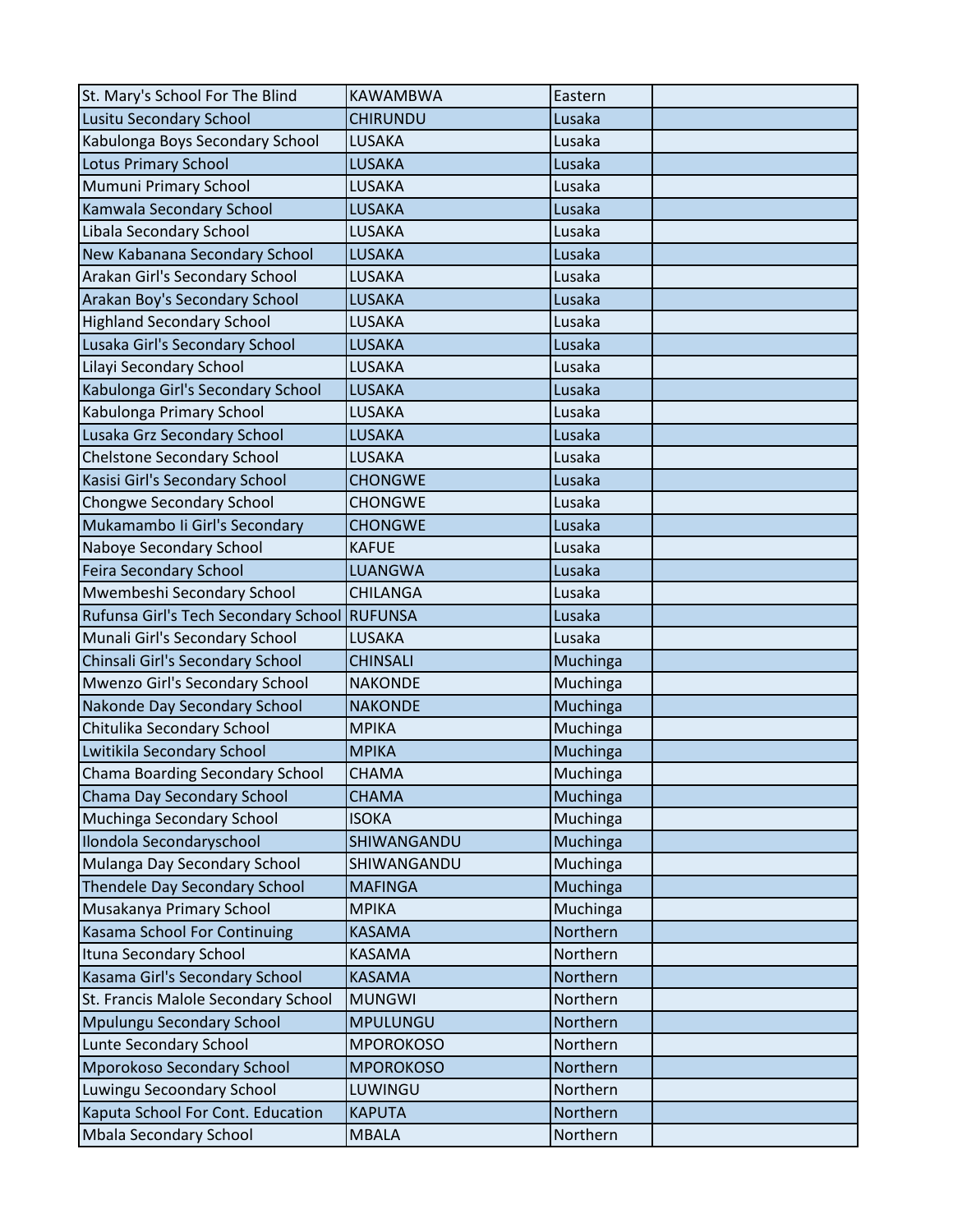| St. Mary's School For The Blind              | <b>KAWAMBWA</b>  | Eastern  |  |
|----------------------------------------------|------------------|----------|--|
| Lusitu Secondary School                      | <b>CHIRUNDU</b>  | Lusaka   |  |
| Kabulonga Boys Secondary School              | LUSAKA           | Lusaka   |  |
| <b>Lotus Primary School</b>                  | <b>LUSAKA</b>    | Lusaka   |  |
| Mumuni Primary School                        | LUSAKA           | Lusaka   |  |
| Kamwala Secondary School                     | LUSAKA           | Lusaka   |  |
| Libala Secondary School                      | <b>LUSAKA</b>    | Lusaka   |  |
| New Kabanana Secondary School                | LUSAKA           | Lusaka   |  |
| Arakan Girl's Secondary School               | LUSAKA           | Lusaka   |  |
| Arakan Boy's Secondary School                | <b>LUSAKA</b>    | Lusaka   |  |
| <b>Highland Secondary School</b>             | LUSAKA           | Lusaka   |  |
| Lusaka Girl's Secondary School               | LUSAKA           | Lusaka   |  |
| Lilayi Secondary School                      | LUSAKA           | Lusaka   |  |
| Kabulonga Girl's Secondary School            | <b>LUSAKA</b>    | Lusaka   |  |
| Kabulonga Primary School                     | LUSAKA           | Lusaka   |  |
| Lusaka Grz Secondary School                  | <b>LUSAKA</b>    | Lusaka   |  |
| <b>Chelstone Secondary School</b>            | LUSAKA           | Lusaka   |  |
| Kasisi Girl's Secondary School               | <b>CHONGWE</b>   | Lusaka   |  |
| Chongwe Secondary School                     | <b>CHONGWE</b>   | Lusaka   |  |
| Mukamambo Ii Girl's Secondary                | <b>CHONGWE</b>   | Lusaka   |  |
| Naboye Secondary School                      | <b>KAFUE</b>     | Lusaka   |  |
| <b>Feira Secondary School</b>                | LUANGWA          | Lusaka   |  |
| Mwembeshi Secondary School                   | <b>CHILANGA</b>  | Lusaka   |  |
| Rufunsa Girl's Tech Secondary School RUFUNSA |                  | Lusaka   |  |
| Munali Girl's Secondary School               | LUSAKA           | Lusaka   |  |
| Chinsali Girl's Secondary School             | <b>CHINSALI</b>  | Muchinga |  |
| Mwenzo Girl's Secondary School               | <b>NAKONDE</b>   | Muchinga |  |
| Nakonde Day Secondary School                 | <b>NAKONDE</b>   | Muchinga |  |
| Chitulika Secondary School                   | <b>MPIKA</b>     | Muchinga |  |
| Lwitikila Secondary School                   | <b>MPIKA</b>     | Muchinga |  |
| Chama Boarding Secondary School              | <b>CHAMA</b>     | Muchinga |  |
| Chama Day Secondary School                   | <b>CHAMA</b>     | Muchinga |  |
| Muchinga Secondary School                    | <b>ISOKA</b>     | Muchinga |  |
| Ilondola Secondaryschool                     | SHIWANGANDU      | Muchinga |  |
| Mulanga Day Secondary School                 | SHIWANGANDU      | Muchinga |  |
| <b>Thendele Day Secondary School</b>         | <b>MAFINGA</b>   | Muchinga |  |
| Musakanya Primary School                     | <b>MPIKA</b>     | Muchinga |  |
| Kasama School For Continuing                 | <b>KASAMA</b>    | Northern |  |
| Ituna Secondary School                       | <b>KASAMA</b>    | Northern |  |
| Kasama Girl's Secondary School               | <b>KASAMA</b>    | Northern |  |
| St. Francis Malole Secondary School          | <b>MUNGWI</b>    | Northern |  |
| Mpulungu Secondary School                    | <b>MPULUNGU</b>  | Northern |  |
| Lunte Secondary School                       | <b>MPOROKOSO</b> | Northern |  |
| Mporokoso Secondary School                   | <b>MPOROKOSO</b> | Northern |  |
| Luwingu Secoondary School                    | LUWINGU          | Northern |  |
| Kaputa School For Cont. Education            | <b>KAPUTA</b>    | Northern |  |
| Mbala Secondary School                       | <b>MBALA</b>     | Northern |  |